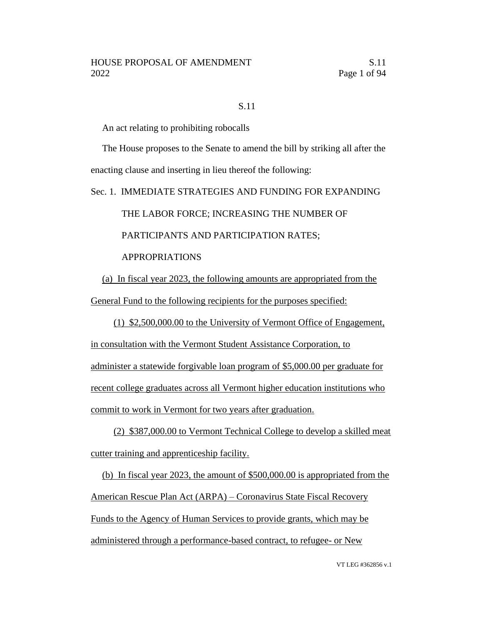### S.11

An act relating to prohibiting robocalls

The House proposes to the Senate to amend the bill by striking all after the enacting clause and inserting in lieu thereof the following:

Sec. 1. IMMEDIATE STRATEGIES AND FUNDING FOR EXPANDING THE LABOR FORCE; INCREASING THE NUMBER OF PARTICIPANTS AND PARTICIPATION RATES; APPROPRIATIONS

(a) In fiscal year 2023, the following amounts are appropriated from the General Fund to the following recipients for the purposes specified:

(1) \$2,500,000.00 to the University of Vermont Office of Engagement, in consultation with the Vermont Student Assistance Corporation, to administer a statewide forgivable loan program of \$5,000.00 per graduate for recent college graduates across all Vermont higher education institutions who commit to work in Vermont for two years after graduation.

(2) \$387,000.00 to Vermont Technical College to develop a skilled meat cutter training and apprenticeship facility.

(b) In fiscal year 2023, the amount of \$500,000.00 is appropriated from the American Rescue Plan Act (ARPA) – Coronavirus State Fiscal Recovery Funds to the Agency of Human Services to provide grants, which may be administered through a performance-based contract, to refugee- or New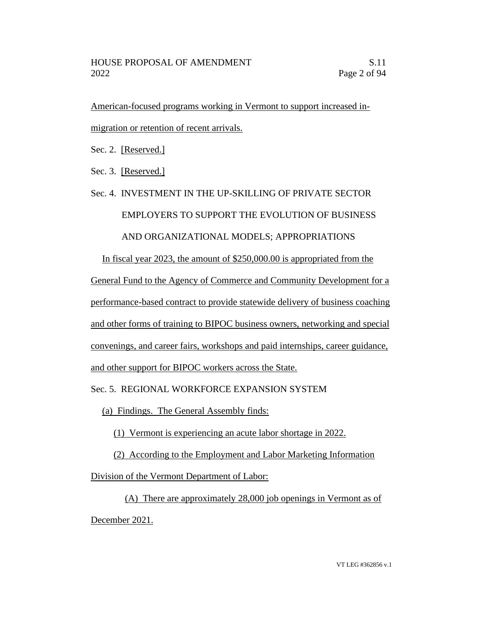American-focused programs working in Vermont to support increased inmigration or retention of recent arrivals.

Sec. 2. [Reserved.]

Sec. 3. [Reserved.]

# Sec. 4. INVESTMENT IN THE UP-SKILLING OF PRIVATE SECTOR EMPLOYERS TO SUPPORT THE EVOLUTION OF BUSINESS AND ORGANIZATIONAL MODELS; APPROPRIATIONS In fiscal year 2023, the amount of \$250,000.00 is appropriated from the

General Fund to the Agency of Commerce and Community Development for a performance-based contract to provide statewide delivery of business coaching and other forms of training to BIPOC business owners, networking and special convenings, and career fairs, workshops and paid internships, career guidance, and other support for BIPOC workers across the State.

Sec. 5. REGIONAL WORKFORCE EXPANSION SYSTEM

(a) Findings. The General Assembly finds:

(1) Vermont is experiencing an acute labor shortage in 2022.

(2) According to the Employment and Labor Marketing Information

Division of the Vermont Department of Labor:

(A) There are approximately 28,000 job openings in Vermont as of December 2021.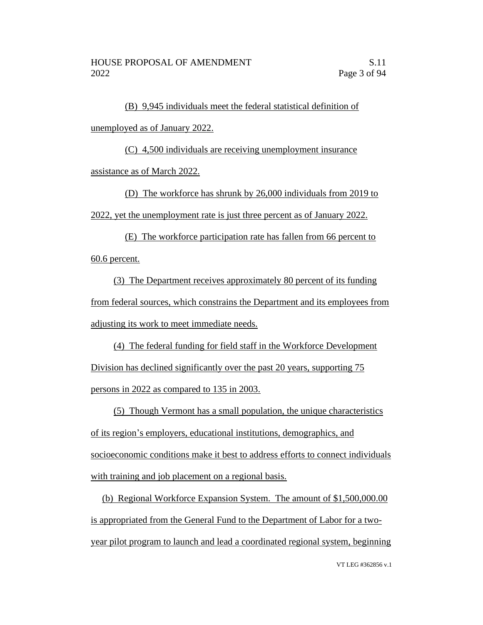(B) 9,945 individuals meet the federal statistical definition of unemployed as of January 2022.

(C) 4,500 individuals are receiving unemployment insurance assistance as of March 2022.

(D) The workforce has shrunk by 26,000 individuals from 2019 to 2022, yet the unemployment rate is just three percent as of January 2022.

(E) The workforce participation rate has fallen from 66 percent to 60.6 percent.

(3) The Department receives approximately 80 percent of its funding from federal sources, which constrains the Department and its employees from adjusting its work to meet immediate needs.

(4) The federal funding for field staff in the Workforce Development Division has declined significantly over the past 20 years, supporting 75 persons in 2022 as compared to 135 in 2003.

(5) Though Vermont has a small population, the unique characteristics of its region's employers, educational institutions, demographics, and socioeconomic conditions make it best to address efforts to connect individuals with training and job placement on a regional basis.

(b) Regional Workforce Expansion System. The amount of \$1,500,000.00 is appropriated from the General Fund to the Department of Labor for a twoyear pilot program to launch and lead a coordinated regional system, beginning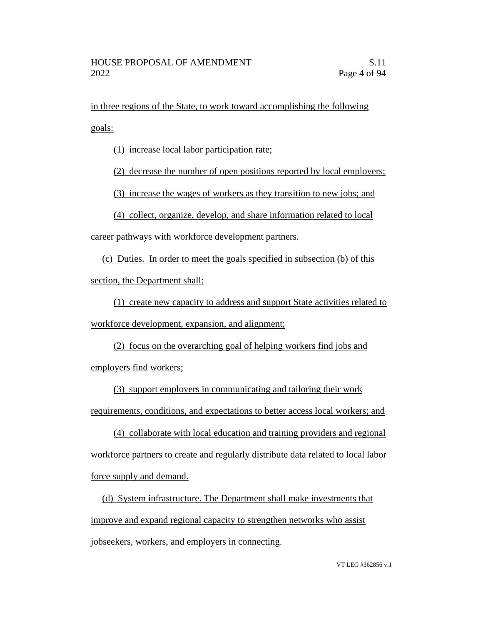in three regions of the State, to work toward accomplishing the following goals:

(1) increase local labor participation rate;

(2) decrease the number of open positions reported by local employers;

(3) increase the wages of workers as they transition to new jobs; and

(4) collect, organize, develop, and share information related to local

career pathways with workforce development partners.

(c) Duties. In order to meet the goals specified in subsection (b) of this

section, the Department shall:

(1) create new capacity to address and support State activities related to workforce development, expansion, and alignment;

(2) focus on the overarching goal of helping workers find jobs and employers find workers;

(3) support employers in communicating and tailoring their work requirements, conditions, and expectations to better access local workers; and

(4) collaborate with local education and training providers and regional workforce partners to create and regularly distribute data related to local labor force supply and demand.

(d) System infrastructure. The Department shall make investments that improve and expand regional capacity to strengthen networks who assist jobseekers, workers, and employers in connecting.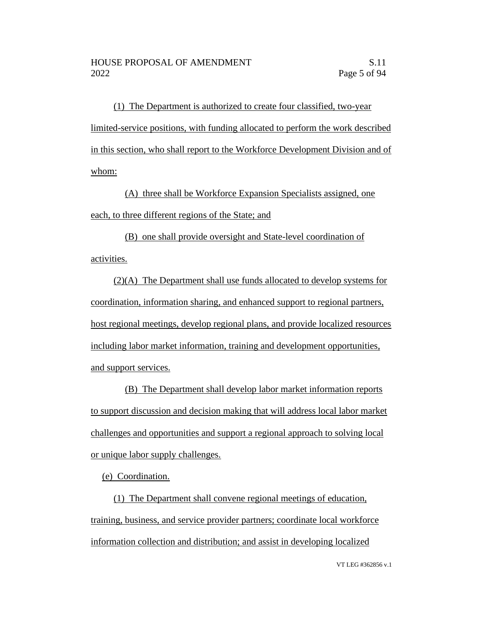(1) The Department is authorized to create four classified, two-year limited-service positions, with funding allocated to perform the work described in this section, who shall report to the Workforce Development Division and of whom:

(A) three shall be Workforce Expansion Specialists assigned, one each, to three different regions of the State; and

(B) one shall provide oversight and State-level coordination of activities.

(2)(A) The Department shall use funds allocated to develop systems for coordination, information sharing, and enhanced support to regional partners, host regional meetings, develop regional plans, and provide localized resources including labor market information, training and development opportunities, and support services.

(B) The Department shall develop labor market information reports to support discussion and decision making that will address local labor market challenges and opportunities and support a regional approach to solving local or unique labor supply challenges.

(e) Coordination.

(1) The Department shall convene regional meetings of education, training, business, and service provider partners; coordinate local workforce information collection and distribution; and assist in developing localized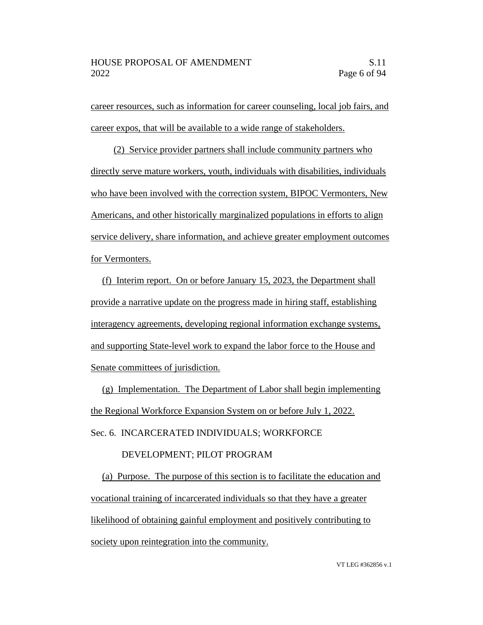career resources, such as information for career counseling, local job fairs, and career expos, that will be available to a wide range of stakeholders.

(2) Service provider partners shall include community partners who directly serve mature workers, youth, individuals with disabilities, individuals who have been involved with the correction system, BIPOC Vermonters, New Americans, and other historically marginalized populations in efforts to align service delivery, share information, and achieve greater employment outcomes for Vermonters.

(f) Interim report. On or before January 15, 2023, the Department shall provide a narrative update on the progress made in hiring staff, establishing interagency agreements, developing regional information exchange systems, and supporting State-level work to expand the labor force to the House and Senate committees of jurisdiction.

(g) Implementation. The Department of Labor shall begin implementing the Regional Workforce Expansion System on or before July 1, 2022.

Sec. 6. INCARCERATED INDIVIDUALS; WORKFORCE

### DEVELOPMENT; PILOT PROGRAM

(a) Purpose. The purpose of this section is to facilitate the education and vocational training of incarcerated individuals so that they have a greater likelihood of obtaining gainful employment and positively contributing to society upon reintegration into the community.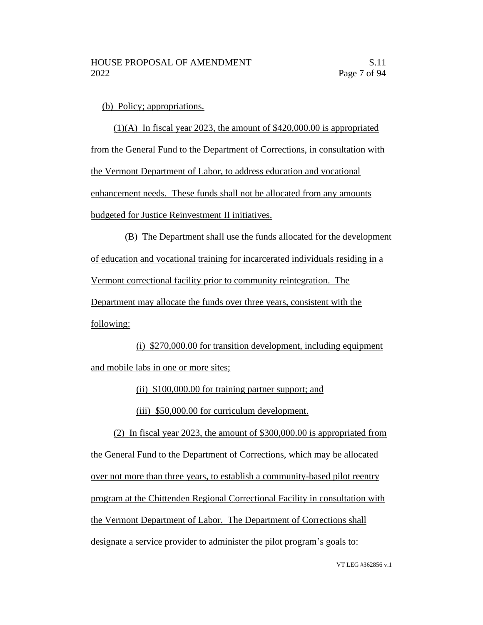(b) Policy; appropriations.

(1)(A) In fiscal year 2023, the amount of \$420,000.00 is appropriated from the General Fund to the Department of Corrections, in consultation with the Vermont Department of Labor, to address education and vocational enhancement needs. These funds shall not be allocated from any amounts budgeted for Justice Reinvestment II initiatives.

(B) The Department shall use the funds allocated for the development of education and vocational training for incarcerated individuals residing in a Vermont correctional facility prior to community reintegration. The Department may allocate the funds over three years, consistent with the following:

(i) \$270,000.00 for transition development, including equipment and mobile labs in one or more sites;

(ii) \$100,000.00 for training partner support; and

(iii) \$50,000.00 for curriculum development.

(2) In fiscal year 2023, the amount of \$300,000.00 is appropriated from the General Fund to the Department of Corrections, which may be allocated over not more than three years, to establish a community-based pilot reentry program at the Chittenden Regional Correctional Facility in consultation with the Vermont Department of Labor. The Department of Corrections shall designate a service provider to administer the pilot program's goals to: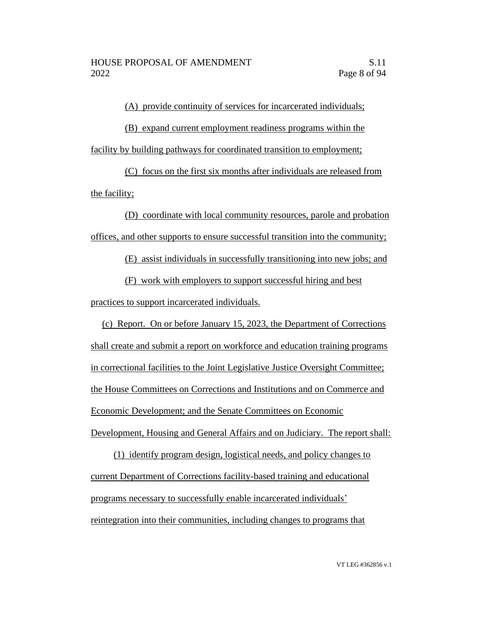(A) provide continuity of services for incarcerated individuals;

(B) expand current employment readiness programs within the facility by building pathways for coordinated transition to employment;

(C) focus on the first six months after individuals are released from the facility;

(D) coordinate with local community resources, parole and probation offices, and other supports to ensure successful transition into the community;

(E) assist individuals in successfully transitioning into new jobs; and

(F) work with employers to support successful hiring and best

practices to support incarcerated individuals.

(c) Report. On or before January 15, 2023, the Department of Corrections shall create and submit a report on workforce and education training programs in correctional facilities to the Joint Legislative Justice Oversight Committee; the House Committees on Corrections and Institutions and on Commerce and Economic Development; and the Senate Committees on Economic Development, Housing and General Affairs and on Judiciary. The report shall:

(1) identify program design, logistical needs, and policy changes to current Department of Corrections facility-based training and educational programs necessary to successfully enable incarcerated individuals' reintegration into their communities, including changes to programs that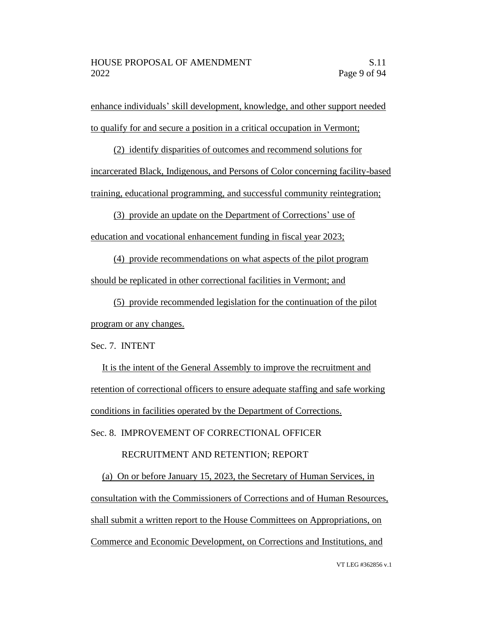enhance individuals' skill development, knowledge, and other support needed to qualify for and secure a position in a critical occupation in Vermont;

(2) identify disparities of outcomes and recommend solutions for incarcerated Black, Indigenous, and Persons of Color concerning facility-based training, educational programming, and successful community reintegration;

(3) provide an update on the Department of Corrections' use of education and vocational enhancement funding in fiscal year 2023;

(4) provide recommendations on what aspects of the pilot program should be replicated in other correctional facilities in Vermont; and

(5) provide recommended legislation for the continuation of the pilot program or any changes.

Sec. 7. INTENT

It is the intent of the General Assembly to improve the recruitment and retention of correctional officers to ensure adequate staffing and safe working conditions in facilities operated by the Department of Corrections.

Sec. 8. IMPROVEMENT OF CORRECTIONAL OFFICER

### RECRUITMENT AND RETENTION; REPORT

(a) On or before January 15, 2023, the Secretary of Human Services, in consultation with the Commissioners of Corrections and of Human Resources, shall submit a written report to the House Committees on Appropriations, on Commerce and Economic Development, on Corrections and Institutions, and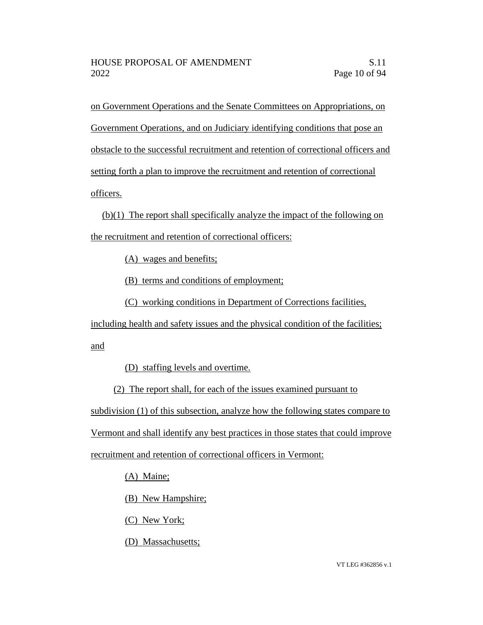on Government Operations and the Senate Committees on Appropriations, on Government Operations, and on Judiciary identifying conditions that pose an obstacle to the successful recruitment and retention of correctional officers and setting forth a plan to improve the recruitment and retention of correctional officers.

(b)(1) The report shall specifically analyze the impact of the following on the recruitment and retention of correctional officers:

(A) wages and benefits;

(B) terms and conditions of employment;

(C) working conditions in Department of Corrections facilities,

including health and safety issues and the physical condition of the facilities; and

(D) staffing levels and overtime.

(2) The report shall, for each of the issues examined pursuant to subdivision (1) of this subsection, analyze how the following states compare to Vermont and shall identify any best practices in those states that could improve recruitment and retention of correctional officers in Vermont:

(A) Maine;

(B) New Hampshire;

(C) New York;

(D) Massachusetts;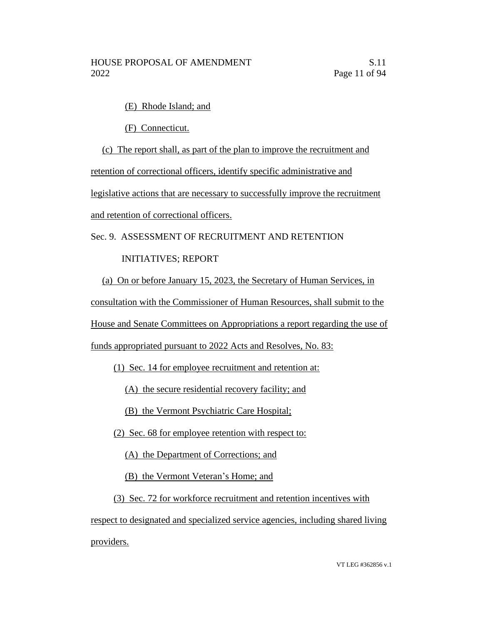(E) Rhode Island; and

(F) Connecticut.

(c) The report shall, as part of the plan to improve the recruitment and

retention of correctional officers, identify specific administrative and

legislative actions that are necessary to successfully improve the recruitment

and retention of correctional officers.

Sec. 9. ASSESSMENT OF RECRUITMENT AND RETENTION

# INITIATIVES; REPORT

(a) On or before January 15, 2023, the Secretary of Human Services, in

consultation with the Commissioner of Human Resources, shall submit to the

House and Senate Committees on Appropriations a report regarding the use of

funds appropriated pursuant to 2022 Acts and Resolves, No. 83:

(1) Sec. 14 for employee recruitment and retention at:

(A) the secure residential recovery facility; and

(B) the Vermont Psychiatric Care Hospital;

(2) Sec. 68 for employee retention with respect to:

(A) the Department of Corrections; and

(B) the Vermont Veteran's Home; and

(3) Sec. 72 for workforce recruitment and retention incentives with

respect to designated and specialized service agencies, including shared living providers.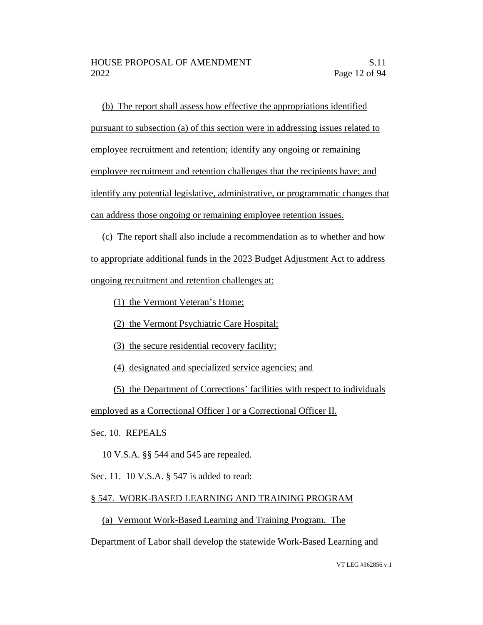(b) The report shall assess how effective the appropriations identified pursuant to subsection (a) of this section were in addressing issues related to employee recruitment and retention; identify any ongoing or remaining employee recruitment and retention challenges that the recipients have; and identify any potential legislative, administrative, or programmatic changes that can address those ongoing or remaining employee retention issues.

(c) The report shall also include a recommendation as to whether and how to appropriate additional funds in the 2023 Budget Adjustment Act to address ongoing recruitment and retention challenges at:

- (1) the Vermont Veteran's Home;
- (2) the Vermont Psychiatric Care Hospital;
- (3) the secure residential recovery facility;
- (4) designated and specialized service agencies; and
- (5) the Department of Corrections' facilities with respect to individuals

employed as a Correctional Officer I or a Correctional Officer II.

Sec. 10. REPEALS

10 V.S.A. §§ 544 and 545 are repealed.

Sec. 11. 10 V.S.A. § 547 is added to read:

# § 547. WORK-BASED LEARNING AND TRAINING PROGRAM

(a) Vermont Work-Based Learning and Training Program. The

Department of Labor shall develop the statewide Work-Based Learning and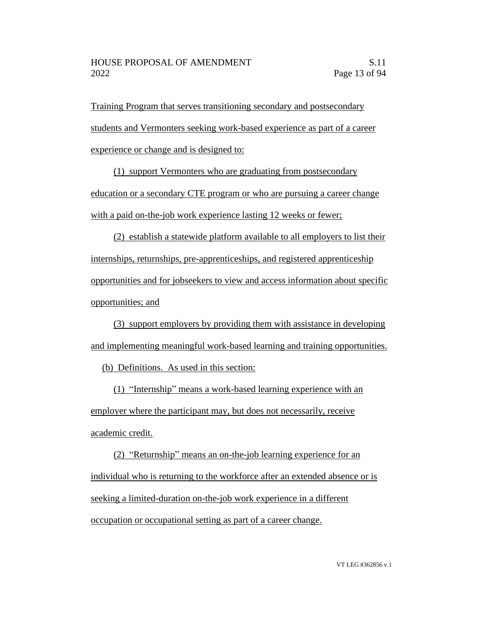Training Program that serves transitioning secondary and postsecondary students and Vermonters seeking work-based experience as part of a career experience or change and is designed to:

(1) support Vermonters who are graduating from postsecondary education or a secondary CTE program or who are pursuing a career change with a paid on-the-job work experience lasting 12 weeks or fewer;

(2) establish a statewide platform available to all employers to list their internships, returnships, pre-apprenticeships, and registered apprenticeship opportunities and for jobseekers to view and access information about specific opportunities; and

(3) support employers by providing them with assistance in developing and implementing meaningful work-based learning and training opportunities.

(b) Definitions. As used in this section:

(1) "Internship" means a work-based learning experience with an employer where the participant may, but does not necessarily, receive academic credit.

(2) "Returnship" means an on-the-job learning experience for an individual who is returning to the workforce after an extended absence or is seeking a limited-duration on-the-job work experience in a different occupation or occupational setting as part of a career change.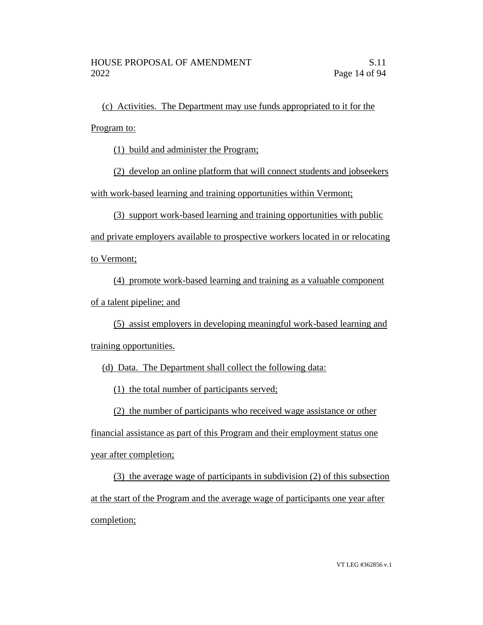(c) Activities. The Department may use funds appropriated to it for the Program to:

(1) build and administer the Program;

(2) develop an online platform that will connect students and jobseekers with work-based learning and training opportunities within Vermont;

(3) support work-based learning and training opportunities with public

and private employers available to prospective workers located in or relocating

to Vermont;

(4) promote work-based learning and training as a valuable component of a talent pipeline; and

(5) assist employers in developing meaningful work-based learning and training opportunities.

(d) Data. The Department shall collect the following data:

(1) the total number of participants served;

(2) the number of participants who received wage assistance or other

financial assistance as part of this Program and their employment status one year after completion;

(3) the average wage of participants in subdivision (2) of this subsection at the start of the Program and the average wage of participants one year after completion;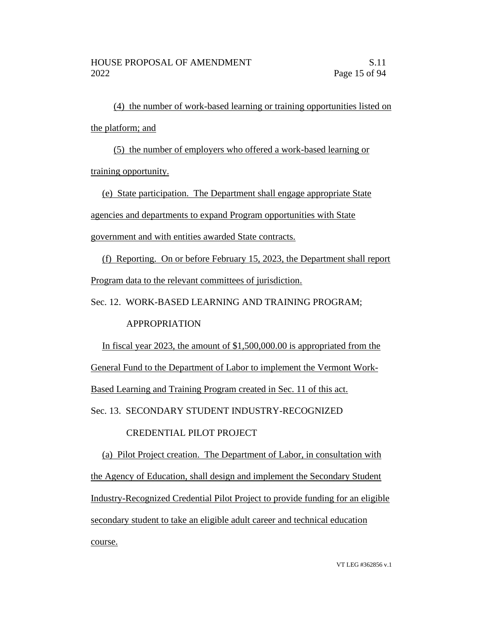(4) the number of work-based learning or training opportunities listed on the platform; and

(5) the number of employers who offered a work-based learning or training opportunity.

(e) State participation. The Department shall engage appropriate State agencies and departments to expand Program opportunities with State government and with entities awarded State contracts.

(f) Reporting. On or before February 15, 2023, the Department shall report Program data to the relevant committees of jurisdiction.

Sec. 12. WORK-BASED LEARNING AND TRAINING PROGRAM;

# APPROPRIATION

In fiscal year 2023, the amount of \$1,500,000.00 is appropriated from the General Fund to the Department of Labor to implement the Vermont Work-Based Learning and Training Program created in Sec. 11 of this act. Sec. 13. SECONDARY STUDENT INDUSTRY-RECOGNIZED

# CREDENTIAL PILOT PROJECT

(a) Pilot Project creation. The Department of Labor, in consultation with the Agency of Education, shall design and implement the Secondary Student Industry-Recognized Credential Pilot Project to provide funding for an eligible secondary student to take an eligible adult career and technical education course.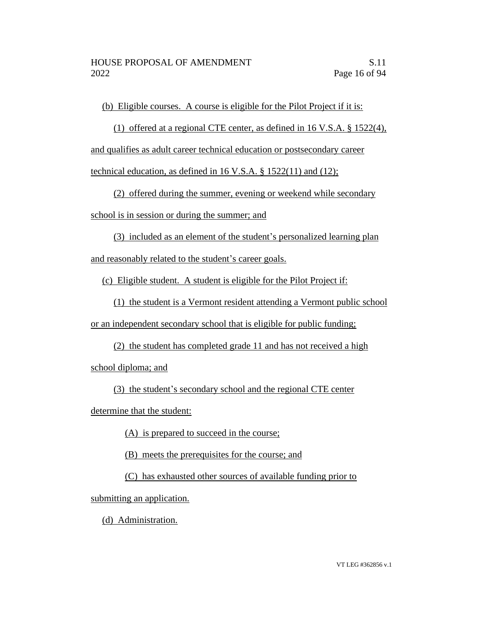(b) Eligible courses. A course is eligible for the Pilot Project if it is:

(1) offered at a regional CTE center, as defined in 16 V.S.A. § 1522(4),

and qualifies as adult career technical education or postsecondary career

technical education, as defined in 16 V.S.A. § 1522(11) and (12);

(2) offered during the summer, evening or weekend while secondary

school is in session or during the summer; and

(3) included as an element of the student's personalized learning plan

and reasonably related to the student's career goals.

(c) Eligible student. A student is eligible for the Pilot Project if:

(1) the student is a Vermont resident attending a Vermont public school

or an independent secondary school that is eligible for public funding;

(2) the student has completed grade 11 and has not received a high school diploma; and

(3) the student's secondary school and the regional CTE center

determine that the student:

(A) is prepared to succeed in the course;

(B) meets the prerequisites for the course; and

(C) has exhausted other sources of available funding prior to

submitting an application.

(d) Administration.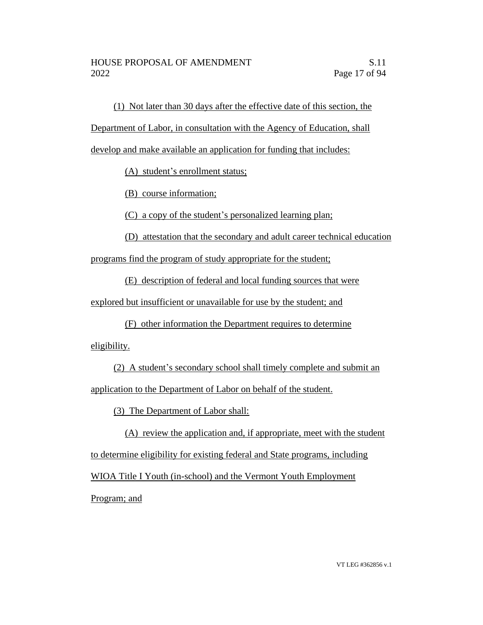(1) Not later than 30 days after the effective date of this section, the

Department of Labor, in consultation with the Agency of Education, shall

develop and make available an application for funding that includes:

(A) student's enrollment status;

(B) course information;

(C) a copy of the student's personalized learning plan;

(D) attestation that the secondary and adult career technical education

programs find the program of study appropriate for the student;

(E) description of federal and local funding sources that were

explored but insufficient or unavailable for use by the student; and

(F) other information the Department requires to determine eligibility.

(2) A student's secondary school shall timely complete and submit an application to the Department of Labor on behalf of the student.

(3) The Department of Labor shall:

(A) review the application and, if appropriate, meet with the student to determine eligibility for existing federal and State programs, including WIOA Title I Youth (in-school) and the Vermont Youth Employment

Program; and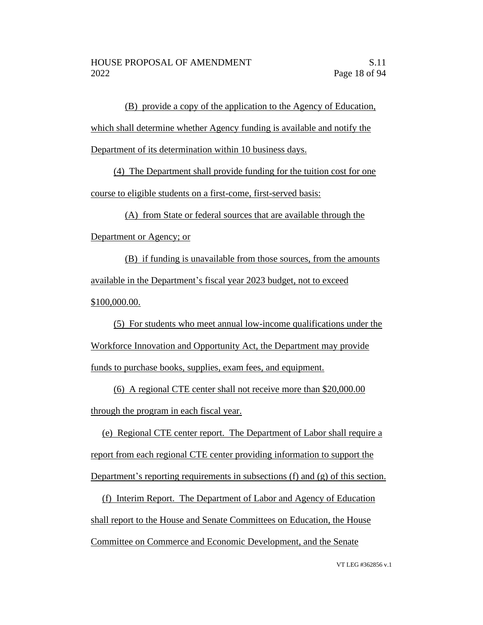(B) provide a copy of the application to the Agency of Education, which shall determine whether Agency funding is available and notify the Department of its determination within 10 business days.

(4) The Department shall provide funding for the tuition cost for one course to eligible students on a first-come, first-served basis:

(A) from State or federal sources that are available through the

Department or Agency; or

(B) if funding is unavailable from those sources, from the amounts available in the Department's fiscal year 2023 budget, not to exceed \$100,000.00.

(5) For students who meet annual low-income qualifications under the Workforce Innovation and Opportunity Act, the Department may provide funds to purchase books, supplies, exam fees, and equipment.

(6) A regional CTE center shall not receive more than \$20,000.00 through the program in each fiscal year.

(e) Regional CTE center report. The Department of Labor shall require a report from each regional CTE center providing information to support the Department's reporting requirements in subsections (f) and (g) of this section.

(f) Interim Report. The Department of Labor and Agency of Education shall report to the House and Senate Committees on Education, the House Committee on Commerce and Economic Development, and the Senate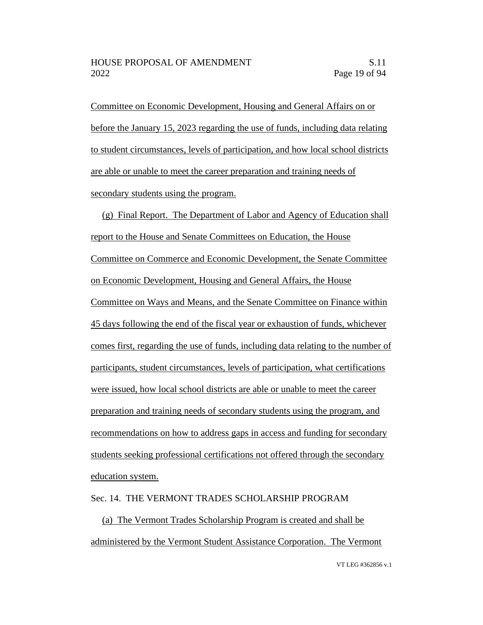Committee on Economic Development, Housing and General Affairs on or before the January 15, 2023 regarding the use of funds, including data relating to student circumstances, levels of participation, and how local school districts are able or unable to meet the career preparation and training needs of secondary students using the program.

(g) Final Report. The Department of Labor and Agency of Education shall report to the House and Senate Committees on Education, the House Committee on Commerce and Economic Development, the Senate Committee on Economic Development, Housing and General Affairs, the House Committee on Ways and Means, and the Senate Committee on Finance within 45 days following the end of the fiscal year or exhaustion of funds, whichever comes first, regarding the use of funds, including data relating to the number of participants, student circumstances, levels of participation, what certifications were issued, how local school districts are able or unable to meet the career preparation and training needs of secondary students using the program, and recommendations on how to address gaps in access and funding for secondary students seeking professional certifications not offered through the secondary education system.

### Sec. 14. THE VERMONT TRADES SCHOLARSHIP PROGRAM

(a) The Vermont Trades Scholarship Program is created and shall be administered by the Vermont Student Assistance Corporation. The Vermont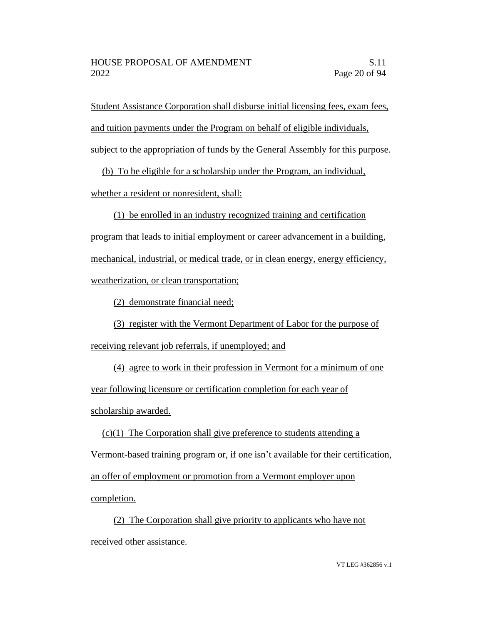Student Assistance Corporation shall disburse initial licensing fees, exam fees, and tuition payments under the Program on behalf of eligible individuals, subject to the appropriation of funds by the General Assembly for this purpose.

(b) To be eligible for a scholarship under the Program, an individual,

whether a resident or nonresident, shall:

(1) be enrolled in an industry recognized training and certification program that leads to initial employment or career advancement in a building, mechanical, industrial, or medical trade, or in clean energy, energy efficiency, weatherization, or clean transportation;

(2) demonstrate financial need;

(3) register with the Vermont Department of Labor for the purpose of receiving relevant job referrals, if unemployed; and

(4) agree to work in their profession in Vermont for a minimum of one year following licensure or certification completion for each year of scholarship awarded.

 $(c)(1)$  The Corporation shall give preference to students attending a Vermont-based training program or, if one isn't available for their certification, an offer of employment or promotion from a Vermont employer upon completion.

(2) The Corporation shall give priority to applicants who have not received other assistance.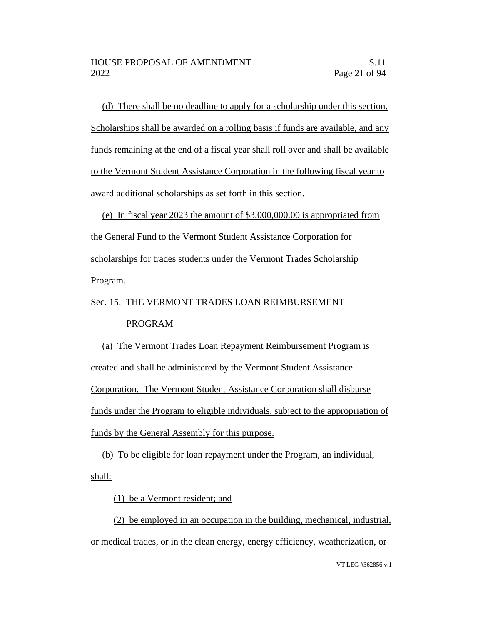(d) There shall be no deadline to apply for a scholarship under this section. Scholarships shall be awarded on a rolling basis if funds are available, and any funds remaining at the end of a fiscal year shall roll over and shall be available to the Vermont Student Assistance Corporation in the following fiscal year to award additional scholarships as set forth in this section.

(e) In fiscal year 2023 the amount of \$3,000,000.00 is appropriated from the General Fund to the Vermont Student Assistance Corporation for scholarships for trades students under the Vermont Trades Scholarship Program.

Sec. 15. THE VERMONT TRADES LOAN REIMBURSEMENT PROGRAM

(a) The Vermont Trades Loan Repayment Reimbursement Program is created and shall be administered by the Vermont Student Assistance Corporation. The Vermont Student Assistance Corporation shall disburse funds under the Program to eligible individuals, subject to the appropriation of funds by the General Assembly for this purpose.

(b) To be eligible for loan repayment under the Program, an individual, shall:

(1) be a Vermont resident; and

(2) be employed in an occupation in the building, mechanical, industrial, or medical trades, or in the clean energy, energy efficiency, weatherization, or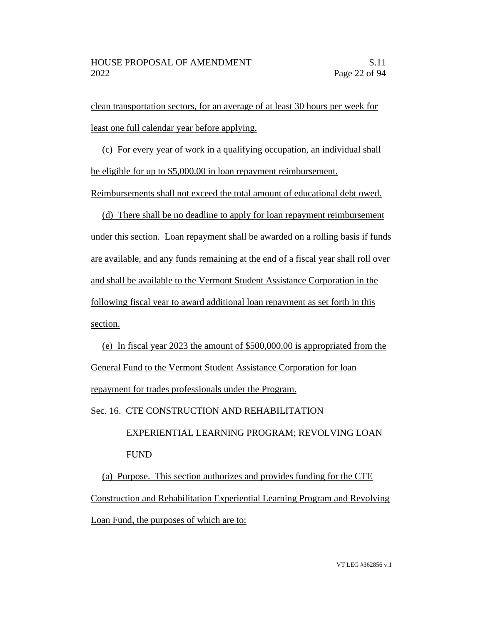clean transportation sectors, for an average of at least 30 hours per week for least one full calendar year before applying.

(c) For every year of work in a qualifying occupation, an individual shall be eligible for up to \$5,000.00 in loan repayment reimbursement.

Reimbursements shall not exceed the total amount of educational debt owed.

(d) There shall be no deadline to apply for loan repayment reimbursement under this section. Loan repayment shall be awarded on a rolling basis if funds are available, and any funds remaining at the end of a fiscal year shall roll over and shall be available to the Vermont Student Assistance Corporation in the following fiscal year to award additional loan repayment as set forth in this section.

(e) In fiscal year 2023 the amount of \$500,000.00 is appropriated from the General Fund to the Vermont Student Assistance Corporation for loan repayment for trades professionals under the Program. Sec. 16. CTE CONSTRUCTION AND REHABILITATION

> EXPERIENTIAL LEARNING PROGRAM; REVOLVING LOAN FUND

(a) Purpose. This section authorizes and provides funding for the CTE Construction and Rehabilitation Experiential Learning Program and Revolving Loan Fund, the purposes of which are to: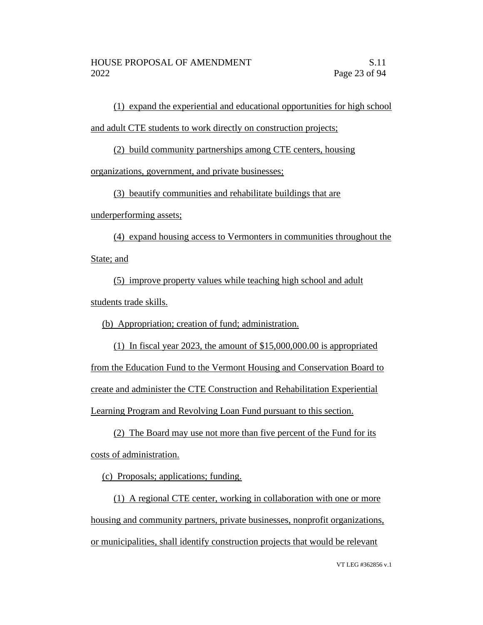(1) expand the experiential and educational opportunities for high school and adult CTE students to work directly on construction projects;

(2) build community partnerships among CTE centers, housing

organizations, government, and private businesses;

(3) beautify communities and rehabilitate buildings that are

underperforming assets;

(4) expand housing access to Vermonters in communities throughout the State; and

(5) improve property values while teaching high school and adult students trade skills.

(b) Appropriation; creation of fund; administration.

(1) In fiscal year 2023, the amount of \$15,000,000.00 is appropriated from the Education Fund to the Vermont Housing and Conservation Board to create and administer the CTE Construction and Rehabilitation Experiential Learning Program and Revolving Loan Fund pursuant to this section.

(2) The Board may use not more than five percent of the Fund for its costs of administration.

(c) Proposals; applications; funding.

(1) A regional CTE center, working in collaboration with one or more housing and community partners, private businesses, nonprofit organizations, or municipalities, shall identify construction projects that would be relevant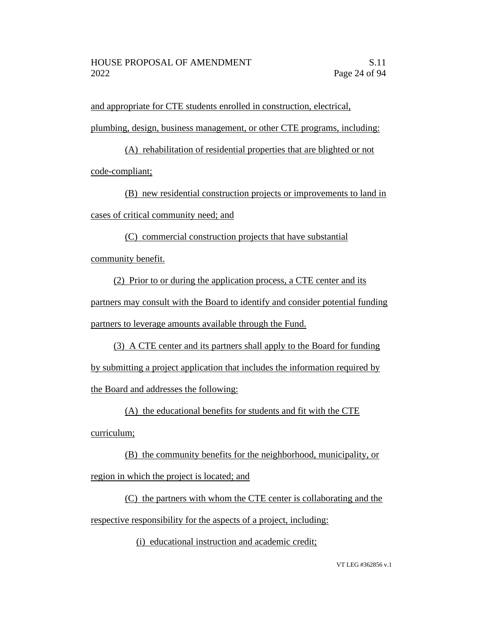and appropriate for CTE students enrolled in construction, electrical, plumbing, design, business management, or other CTE programs, including:

(A) rehabilitation of residential properties that are blighted or not code-compliant;

(B) new residential construction projects or improvements to land in cases of critical community need; and

(C) commercial construction projects that have substantial community benefit.

(2) Prior to or during the application process, a CTE center and its partners may consult with the Board to identify and consider potential funding partners to leverage amounts available through the Fund.

(3) A CTE center and its partners shall apply to the Board for funding by submitting a project application that includes the information required by the Board and addresses the following:

(A) the educational benefits for students and fit with the CTE

curriculum;

(B) the community benefits for the neighborhood, municipality, or region in which the project is located; and

(C) the partners with whom the CTE center is collaborating and the respective responsibility for the aspects of a project, including:

(i) educational instruction and academic credit;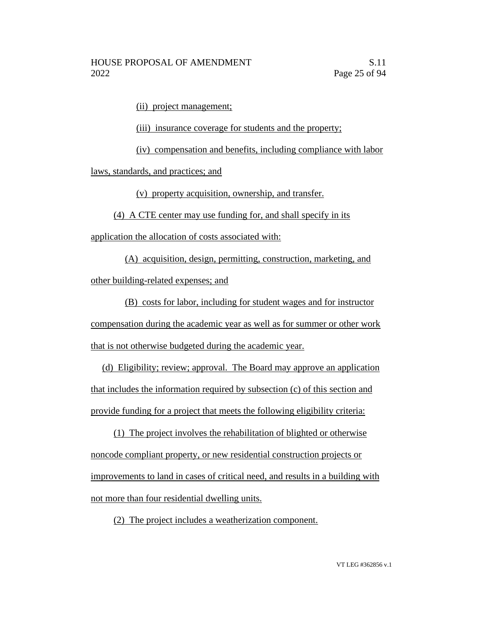(ii) project management;

(iii) insurance coverage for students and the property;

(iv) compensation and benefits, including compliance with labor

laws, standards, and practices; and

(v) property acquisition, ownership, and transfer.

(4) A CTE center may use funding for, and shall specify in its

application the allocation of costs associated with:

(A) acquisition, design, permitting, construction, marketing, and other building-related expenses; and

(B) costs for labor, including for student wages and for instructor compensation during the academic year as well as for summer or other work that is not otherwise budgeted during the academic year.

(d) Eligibility; review; approval. The Board may approve an application that includes the information required by subsection (c) of this section and provide funding for a project that meets the following eligibility criteria:

(1) The project involves the rehabilitation of blighted or otherwise noncode compliant property, or new residential construction projects or improvements to land in cases of critical need, and results in a building with not more than four residential dwelling units.

(2) The project includes a weatherization component.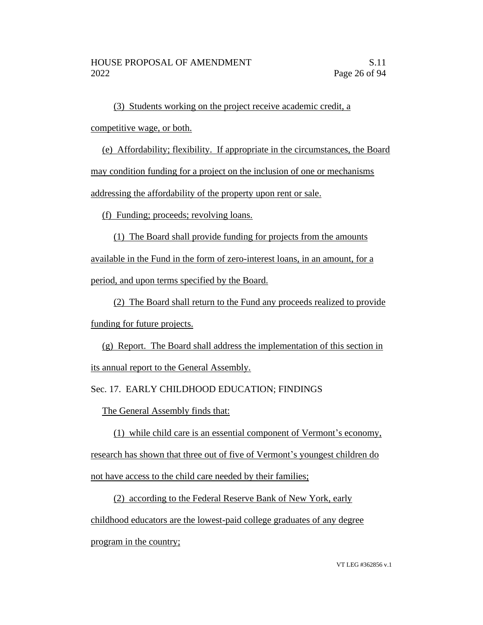(3) Students working on the project receive academic credit, a competitive wage, or both.

(e) Affordability; flexibility. If appropriate in the circumstances, the Board may condition funding for a project on the inclusion of one or mechanisms addressing the affordability of the property upon rent or sale.

(f) Funding; proceeds; revolving loans.

(1) The Board shall provide funding for projects from the amounts available in the Fund in the form of zero-interest loans, in an amount, for a period, and upon terms specified by the Board.

(2) The Board shall return to the Fund any proceeds realized to provide funding for future projects.

(g) Report. The Board shall address the implementation of this section in its annual report to the General Assembly.

Sec. 17. EARLY CHILDHOOD EDUCATION; FINDINGS

The General Assembly finds that:

(1) while child care is an essential component of Vermont's economy, research has shown that three out of five of Vermont's youngest children do not have access to the child care needed by their families;

(2) according to the Federal Reserve Bank of New York, early childhood educators are the lowest-paid college graduates of any degree program in the country;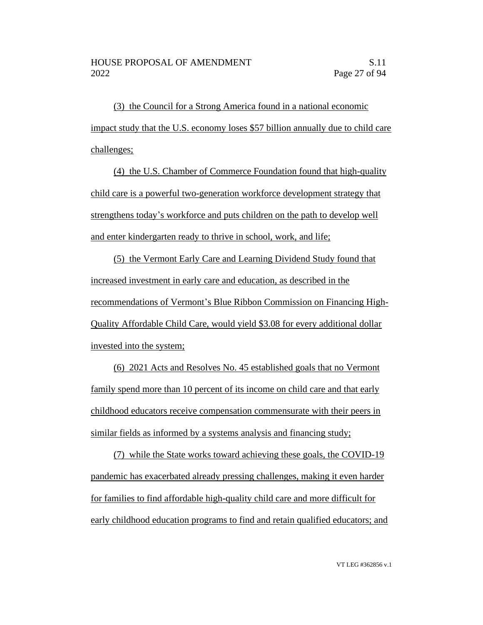(3) the Council for a Strong America found in a national economic impact study that the U.S. economy loses \$57 billion annually due to child care challenges;

(4) the U.S. Chamber of Commerce Foundation found that high-quality child care is a powerful two-generation workforce development strategy that strengthens today's workforce and puts children on the path to develop well and enter kindergarten ready to thrive in school, work, and life;

(5) the Vermont Early Care and Learning Dividend Study found that increased investment in early care and education, as described in the recommendations of Vermont's Blue Ribbon Commission on Financing High-Quality Affordable Child Care, would yield \$3.08 for every additional dollar invested into the system;

(6) 2021 Acts and Resolves No. 45 established goals that no Vermont family spend more than 10 percent of its income on child care and that early childhood educators receive compensation commensurate with their peers in similar fields as informed by a systems analysis and financing study;

(7) while the State works toward achieving these goals, the COVID-19 pandemic has exacerbated already pressing challenges, making it even harder for families to find affordable high-quality child care and more difficult for early childhood education programs to find and retain qualified educators; and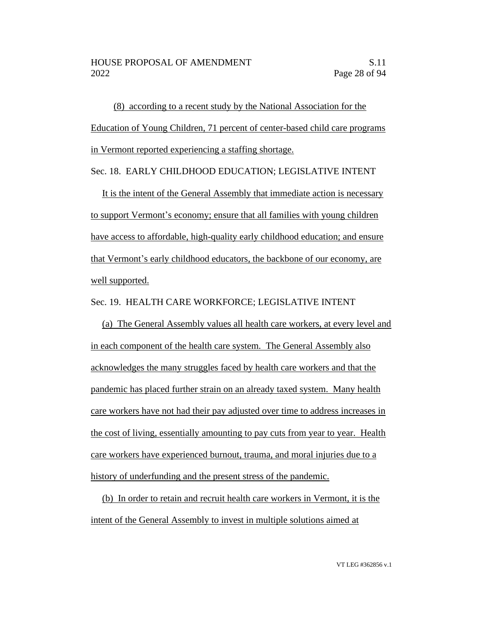(8) according to a recent study by the National Association for the Education of Young Children, 71 percent of center-based child care programs in Vermont reported experiencing a staffing shortage.

Sec. 18. EARLY CHILDHOOD EDUCATION; LEGISLATIVE INTENT

It is the intent of the General Assembly that immediate action is necessary to support Vermont's economy; ensure that all families with young children have access to affordable, high-quality early childhood education; and ensure that Vermont's early childhood educators, the backbone of our economy, are well supported.

### Sec. 19. HEALTH CARE WORKFORCE; LEGISLATIVE INTENT

(a) The General Assembly values all health care workers, at every level and in each component of the health care system. The General Assembly also acknowledges the many struggles faced by health care workers and that the pandemic has placed further strain on an already taxed system. Many health care workers have not had their pay adjusted over time to address increases in the cost of living, essentially amounting to pay cuts from year to year. Health care workers have experienced burnout, trauma, and moral injuries due to a history of underfunding and the present stress of the pandemic.

(b) In order to retain and recruit health care workers in Vermont, it is the intent of the General Assembly to invest in multiple solutions aimed at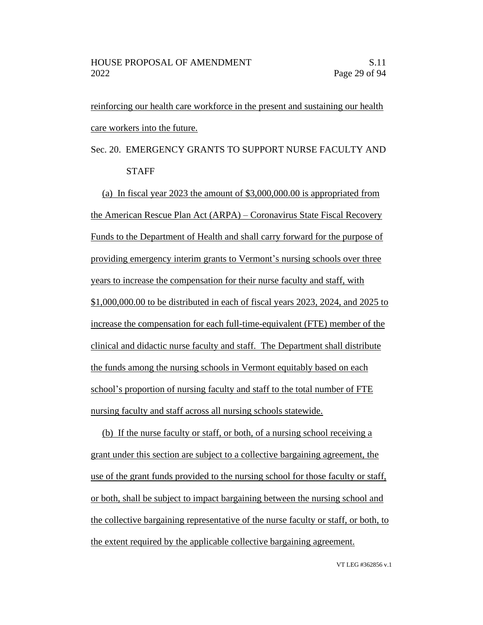reinforcing our health care workforce in the present and sustaining our health care workers into the future.

# Sec. 20. EMERGENCY GRANTS TO SUPPORT NURSE FACULTY AND **STAFF**

(a) In fiscal year 2023 the amount of \$3,000,000.00 is appropriated from the American Rescue Plan Act (ARPA) – Coronavirus State Fiscal Recovery Funds to the Department of Health and shall carry forward for the purpose of providing emergency interim grants to Vermont's nursing schools over three years to increase the compensation for their nurse faculty and staff, with \$1,000,000.00 to be distributed in each of fiscal years 2023, 2024, and 2025 to increase the compensation for each full-time-equivalent (FTE) member of the clinical and didactic nurse faculty and staff. The Department shall distribute the funds among the nursing schools in Vermont equitably based on each school's proportion of nursing faculty and staff to the total number of FTE nursing faculty and staff across all nursing schools statewide.

(b) If the nurse faculty or staff, or both, of a nursing school receiving a grant under this section are subject to a collective bargaining agreement, the use of the grant funds provided to the nursing school for those faculty or staff, or both, shall be subject to impact bargaining between the nursing school and the collective bargaining representative of the nurse faculty or staff, or both, to the extent required by the applicable collective bargaining agreement.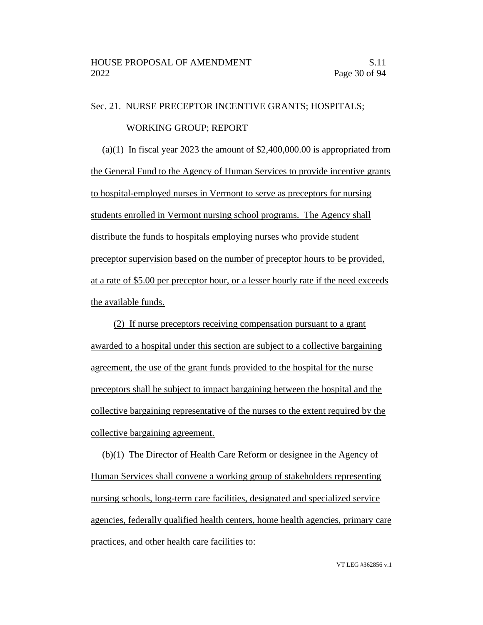### Sec. 21. NURSE PRECEPTOR INCENTIVE GRANTS; HOSPITALS;

#### WORKING GROUP; REPORT

(a)(1) In fiscal year 2023 the amount of  $$2,400,000.00$  is appropriated from the General Fund to the Agency of Human Services to provide incentive grants to hospital-employed nurses in Vermont to serve as preceptors for nursing students enrolled in Vermont nursing school programs. The Agency shall distribute the funds to hospitals employing nurses who provide student preceptor supervision based on the number of preceptor hours to be provided, at a rate of \$5.00 per preceptor hour, or a lesser hourly rate if the need exceeds the available funds.

(2) If nurse preceptors receiving compensation pursuant to a grant awarded to a hospital under this section are subject to a collective bargaining agreement, the use of the grant funds provided to the hospital for the nurse preceptors shall be subject to impact bargaining between the hospital and the collective bargaining representative of the nurses to the extent required by the collective bargaining agreement.

(b)(1) The Director of Health Care Reform or designee in the Agency of Human Services shall convene a working group of stakeholders representing nursing schools, long-term care facilities, designated and specialized service agencies, federally qualified health centers, home health agencies, primary care practices, and other health care facilities to: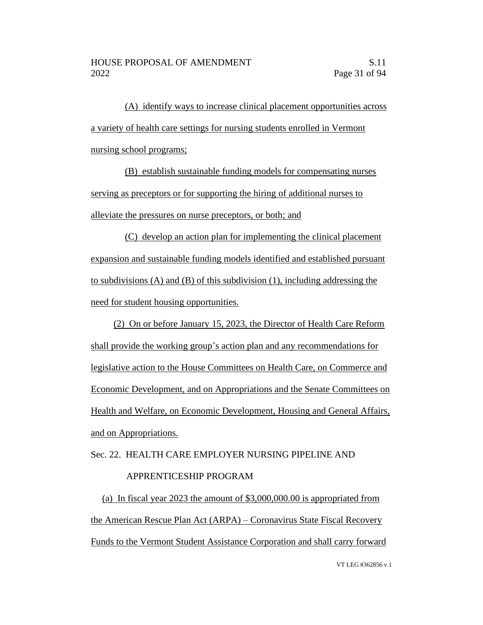(A) identify ways to increase clinical placement opportunities across a variety of health care settings for nursing students enrolled in Vermont nursing school programs;

(B) establish sustainable funding models for compensating nurses serving as preceptors or for supporting the hiring of additional nurses to alleviate the pressures on nurse preceptors, or both; and

(C) develop an action plan for implementing the clinical placement expansion and sustainable funding models identified and established pursuant to subdivisions (A) and (B) of this subdivision (1), including addressing the need for student housing opportunities.

(2) On or before January 15, 2023, the Director of Health Care Reform shall provide the working group's action plan and any recommendations for legislative action to the House Committees on Health Care, on Commerce and Economic Development, and on Appropriations and the Senate Committees on Health and Welfare, on Economic Development, Housing and General Affairs, and on Appropriations.

# Sec. 22. HEALTH CARE EMPLOYER NURSING PIPELINE AND APPRENTICESHIP PROGRAM

(a) In fiscal year 2023 the amount of \$3,000,000.00 is appropriated from the American Rescue Plan Act (ARPA) – Coronavirus State Fiscal Recovery Funds to the Vermont Student Assistance Corporation and shall carry forward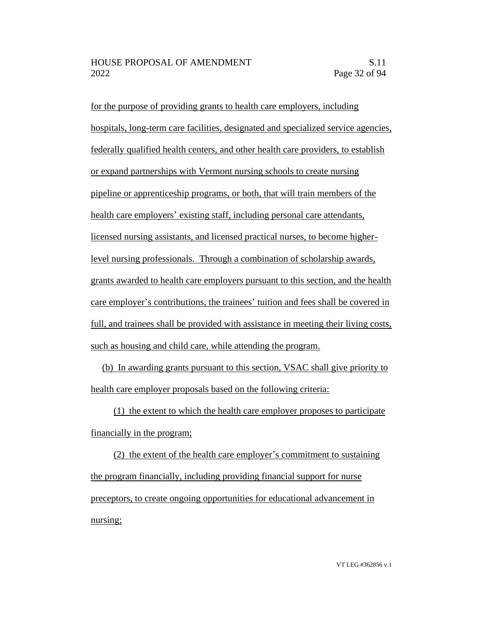for the purpose of providing grants to health care employers, including hospitals, long-term care facilities, designated and specialized service agencies, federally qualified health centers, and other health care providers, to establish or expand partnerships with Vermont nursing schools to create nursing pipeline or apprenticeship programs, or both, that will train members of the health care employers' existing staff, including personal care attendants, licensed nursing assistants, and licensed practical nurses, to become higherlevel nursing professionals. Through a combination of scholarship awards, grants awarded to health care employers pursuant to this section, and the health care employer's contributions, the trainees' tuition and fees shall be covered in full, and trainees shall be provided with assistance in meeting their living costs, such as housing and child care, while attending the program.

(b) In awarding grants pursuant to this section, VSAC shall give priority to health care employer proposals based on the following criteria:

(1) the extent to which the health care employer proposes to participate financially in the program;

(2) the extent of the health care employer's commitment to sustaining the program financially, including providing financial support for nurse preceptors, to create ongoing opportunities for educational advancement in nursing;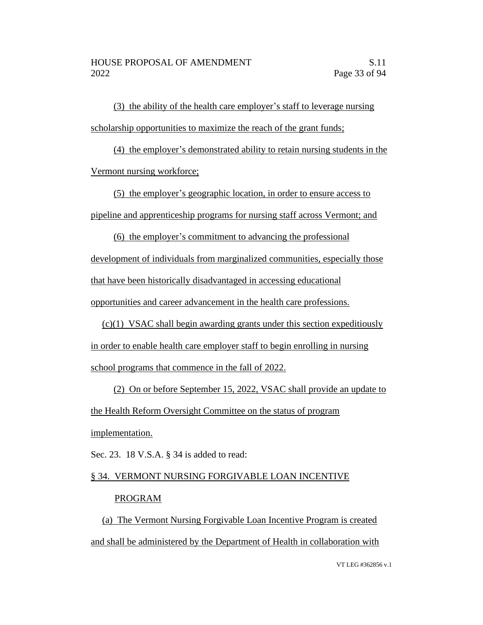(3) the ability of the health care employer's staff to leverage nursing scholarship opportunities to maximize the reach of the grant funds;

(4) the employer's demonstrated ability to retain nursing students in the Vermont nursing workforce;

(5) the employer's geographic location, in order to ensure access to pipeline and apprenticeship programs for nursing staff across Vermont; and

(6) the employer's commitment to advancing the professional development of individuals from marginalized communities, especially those that have been historically disadvantaged in accessing educational opportunities and career advancement in the health care professions.

(c)(1) VSAC shall begin awarding grants under this section expeditiously in order to enable health care employer staff to begin enrolling in nursing school programs that commence in the fall of 2022.

(2) On or before September 15, 2022, VSAC shall provide an update to the Health Reform Oversight Committee on the status of program implementation.

Sec. 23. 18 V.S.A. § 34 is added to read:

# § 34. VERMONT NURSING FORGIVABLE LOAN INCENTIVE

### PROGRAM

(a) The Vermont Nursing Forgivable Loan Incentive Program is created and shall be administered by the Department of Health in collaboration with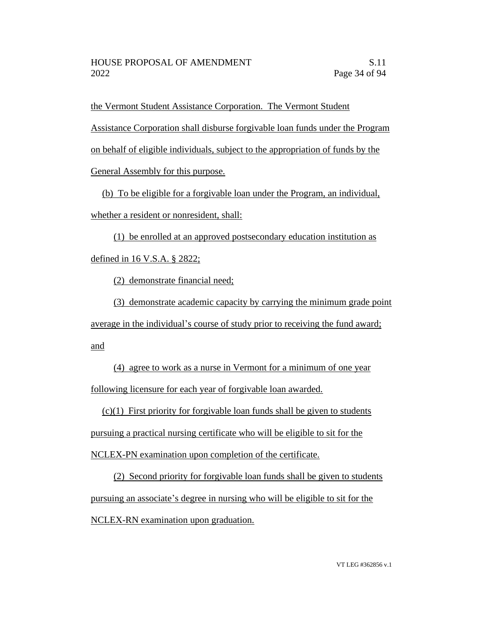the Vermont Student Assistance Corporation. The Vermont Student

Assistance Corporation shall disburse forgivable loan funds under the Program

on behalf of eligible individuals, subject to the appropriation of funds by the

General Assembly for this purpose.

(b) To be eligible for a forgivable loan under the Program, an individual, whether a resident or nonresident, shall:

(1) be enrolled at an approved postsecondary education institution as defined in 16 V.S.A. § 2822;

(2) demonstrate financial need;

(3) demonstrate academic capacity by carrying the minimum grade point average in the individual's course of study prior to receiving the fund award; and

(4) agree to work as a nurse in Vermont for a minimum of one year following licensure for each year of forgivable loan awarded.

 $(c)(1)$  First priority for forgivable loan funds shall be given to students pursuing a practical nursing certificate who will be eligible to sit for the NCLEX-PN examination upon completion of the certificate.

(2) Second priority for forgivable loan funds shall be given to students pursuing an associate's degree in nursing who will be eligible to sit for the NCLEX-RN examination upon graduation.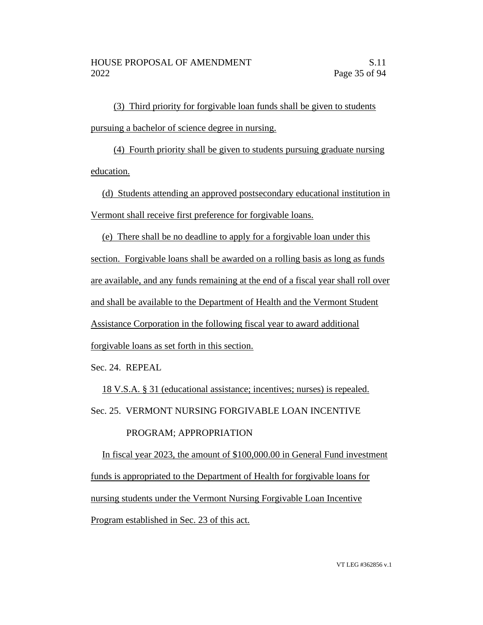(3) Third priority for forgivable loan funds shall be given to students pursuing a bachelor of science degree in nursing.

(4) Fourth priority shall be given to students pursuing graduate nursing education.

(d) Students attending an approved postsecondary educational institution in Vermont shall receive first preference for forgivable loans.

(e) There shall be no deadline to apply for a forgivable loan under this section. Forgivable loans shall be awarded on a rolling basis as long as funds are available, and any funds remaining at the end of a fiscal year shall roll over and shall be available to the Department of Health and the Vermont Student Assistance Corporation in the following fiscal year to award additional forgivable loans as set forth in this section.

Sec. 24. REPEAL

18 V.S.A. § 31 (educational assistance; incentives; nurses) is repealed.

Sec. 25. VERMONT NURSING FORGIVABLE LOAN INCENTIVE

# PROGRAM; APPROPRIATION

In fiscal year 2023, the amount of \$100,000.00 in General Fund investment funds is appropriated to the Department of Health for forgivable loans for nursing students under the Vermont Nursing Forgivable Loan Incentive Program established in Sec. 23 of this act.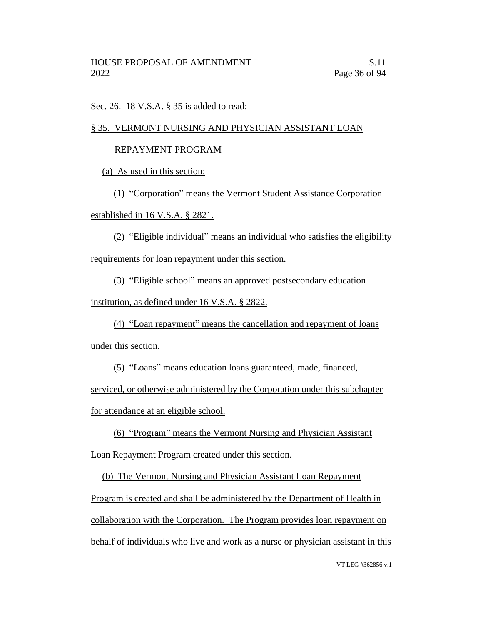Sec. 26. 18 V.S.A. § 35 is added to read:

### § 35. VERMONT NURSING AND PHYSICIAN ASSISTANT LOAN

### REPAYMENT PROGRAM

(a) As used in this section:

(1) "Corporation" means the Vermont Student Assistance Corporation

established in 16 V.S.A. § 2821.

(2) "Eligible individual" means an individual who satisfies the eligibility requirements for loan repayment under this section.

(3) "Eligible school" means an approved postsecondary education

institution, as defined under 16 V.S.A. § 2822.

(4) "Loan repayment" means the cancellation and repayment of loans under this section.

(5) "Loans" means education loans guaranteed, made, financed, serviced, or otherwise administered by the Corporation under this subchapter for attendance at an eligible school.

(6) "Program" means the Vermont Nursing and Physician Assistant Loan Repayment Program created under this section.

(b) The Vermont Nursing and Physician Assistant Loan Repayment Program is created and shall be administered by the Department of Health in collaboration with the Corporation. The Program provides loan repayment on behalf of individuals who live and work as a nurse or physician assistant in this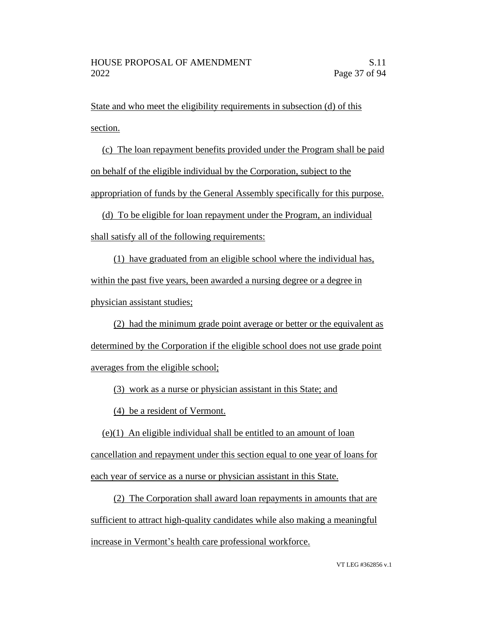State and who meet the eligibility requirements in subsection (d) of this section.

(c) The loan repayment benefits provided under the Program shall be paid on behalf of the eligible individual by the Corporation, subject to the appropriation of funds by the General Assembly specifically for this purpose.

(d) To be eligible for loan repayment under the Program, an individual shall satisfy all of the following requirements:

(1) have graduated from an eligible school where the individual has, within the past five years, been awarded a nursing degree or a degree in physician assistant studies;

(2) had the minimum grade point average or better or the equivalent as determined by the Corporation if the eligible school does not use grade point averages from the eligible school;

(3) work as a nurse or physician assistant in this State; and

(4) be a resident of Vermont.

(e)(1) An eligible individual shall be entitled to an amount of loan cancellation and repayment under this section equal to one year of loans for each year of service as a nurse or physician assistant in this State.

(2) The Corporation shall award loan repayments in amounts that are sufficient to attract high-quality candidates while also making a meaningful increase in Vermont's health care professional workforce.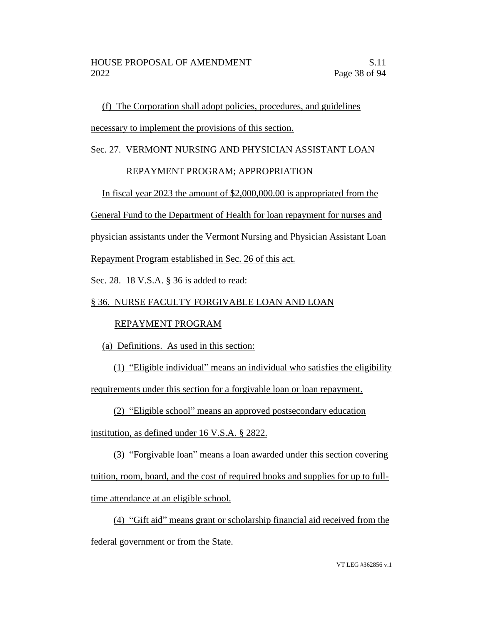(f) The Corporation shall adopt policies, procedures, and guidelines necessary to implement the provisions of this section.

#### Sec. 27. VERMONT NURSING AND PHYSICIAN ASSISTANT LOAN

#### REPAYMENT PROGRAM; APPROPRIATION

In fiscal year 2023 the amount of \$2,000,000.00 is appropriated from the

General Fund to the Department of Health for loan repayment for nurses and

physician assistants under the Vermont Nursing and Physician Assistant Loan

Repayment Program established in Sec. 26 of this act.

Sec. 28. 18 V.S.A. § 36 is added to read:

#### § 36. NURSE FACULTY FORGIVABLE LOAN AND LOAN

#### REPAYMENT PROGRAM

(a) Definitions. As used in this section:

(1) "Eligible individual" means an individual who satisfies the eligibility requirements under this section for a forgivable loan or loan repayment.

(2) "Eligible school" means an approved postsecondary education

institution, as defined under 16 V.S.A. § 2822.

(3) "Forgivable loan" means a loan awarded under this section covering tuition, room, board, and the cost of required books and supplies for up to fulltime attendance at an eligible school.

(4) "Gift aid" means grant or scholarship financial aid received from the federal government or from the State.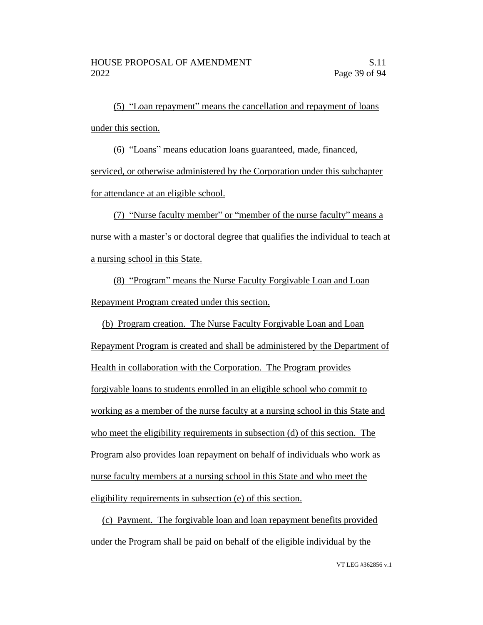(5) "Loan repayment" means the cancellation and repayment of loans under this section.

(6) "Loans" means education loans guaranteed, made, financed, serviced, or otherwise administered by the Corporation under this subchapter for attendance at an eligible school.

(7) "Nurse faculty member" or "member of the nurse faculty" means a nurse with a master's or doctoral degree that qualifies the individual to teach at a nursing school in this State.

(8) "Program" means the Nurse Faculty Forgivable Loan and Loan Repayment Program created under this section.

(b) Program creation. The Nurse Faculty Forgivable Loan and Loan Repayment Program is created and shall be administered by the Department of Health in collaboration with the Corporation. The Program provides forgivable loans to students enrolled in an eligible school who commit to working as a member of the nurse faculty at a nursing school in this State and who meet the eligibility requirements in subsection (d) of this section. The Program also provides loan repayment on behalf of individuals who work as nurse faculty members at a nursing school in this State and who meet the eligibility requirements in subsection (e) of this section.

(c) Payment. The forgivable loan and loan repayment benefits provided under the Program shall be paid on behalf of the eligible individual by the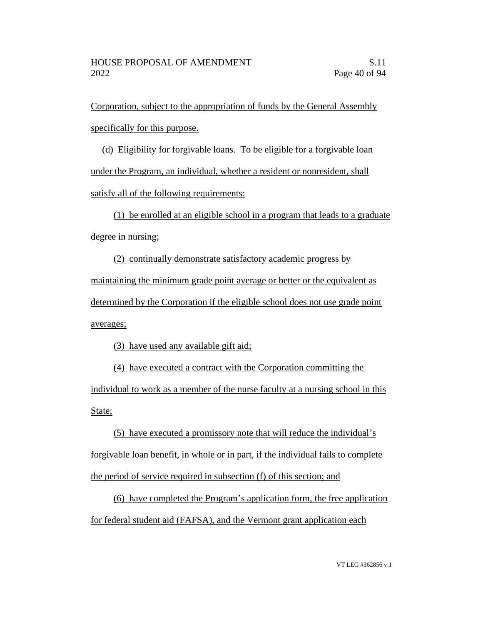Corporation, subject to the appropriation of funds by the General Assembly specifically for this purpose.

(d) Eligibility for forgivable loans. To be eligible for a forgivable loan under the Program, an individual, whether a resident or nonresident, shall satisfy all of the following requirements:

(1) be enrolled at an eligible school in a program that leads to a graduate degree in nursing;

(2) continually demonstrate satisfactory academic progress by maintaining the minimum grade point average or better or the equivalent as determined by the Corporation if the eligible school does not use grade point averages;

(3) have used any available gift aid;

(4) have executed a contract with the Corporation committing the individual to work as a member of the nurse faculty at a nursing school in this State;

(5) have executed a promissory note that will reduce the individual's forgivable loan benefit, in whole or in part, if the individual fails to complete the period of service required in subsection (f) of this section; and

(6) have completed the Program's application form, the free application for federal student aid (FAFSA), and the Vermont grant application each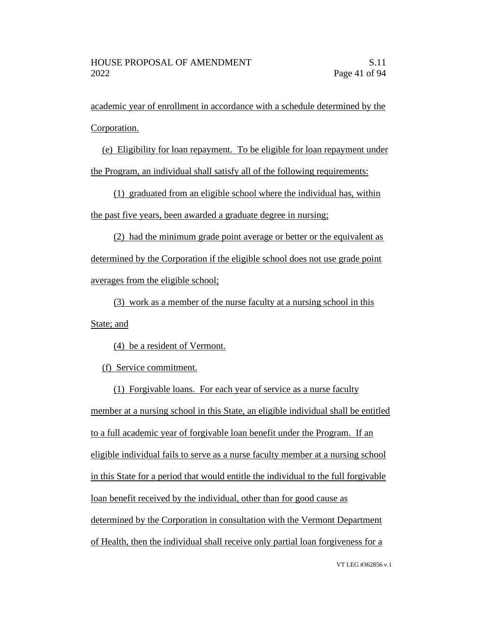academic year of enrollment in accordance with a schedule determined by the Corporation.

(e) Eligibility for loan repayment. To be eligible for loan repayment under

the Program, an individual shall satisfy all of the following requirements:

(1) graduated from an eligible school where the individual has, within the past five years, been awarded a graduate degree in nursing;

(2) had the minimum grade point average or better or the equivalent as determined by the Corporation if the eligible school does not use grade point averages from the eligible school;

(3) work as a member of the nurse faculty at a nursing school in this State; and

(4) be a resident of Vermont.

(f) Service commitment.

(1) Forgivable loans. For each year of service as a nurse faculty member at a nursing school in this State, an eligible individual shall be entitled to a full academic year of forgivable loan benefit under the Program. If an eligible individual fails to serve as a nurse faculty member at a nursing school in this State for a period that would entitle the individual to the full forgivable loan benefit received by the individual, other than for good cause as determined by the Corporation in consultation with the Vermont Department of Health, then the individual shall receive only partial loan forgiveness for a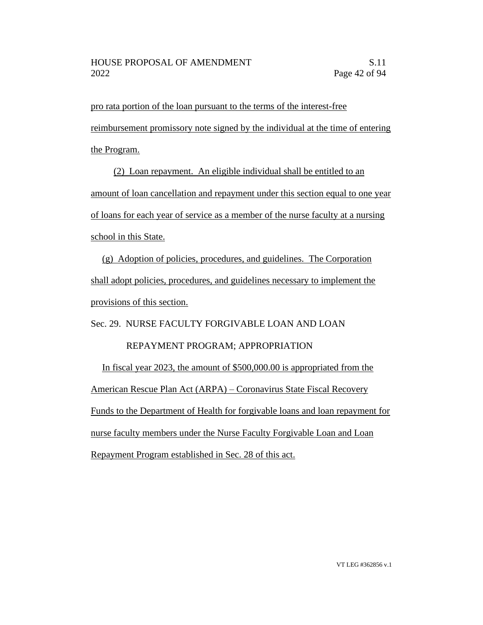pro rata portion of the loan pursuant to the terms of the interest-free reimbursement promissory note signed by the individual at the time of entering the Program.

(2) Loan repayment. An eligible individual shall be entitled to an amount of loan cancellation and repayment under this section equal to one year of loans for each year of service as a member of the nurse faculty at a nursing school in this State.

(g) Adoption of policies, procedures, and guidelines. The Corporation shall adopt policies, procedures, and guidelines necessary to implement the provisions of this section.

Sec. 29. NURSE FACULTY FORGIVABLE LOAN AND LOAN

### REPAYMENT PROGRAM; APPROPRIATION

In fiscal year 2023, the amount of \$500,000.00 is appropriated from the American Rescue Plan Act (ARPA) – Coronavirus State Fiscal Recovery Funds to the Department of Health for forgivable loans and loan repayment for nurse faculty members under the Nurse Faculty Forgivable Loan and Loan Repayment Program established in Sec. 28 of this act.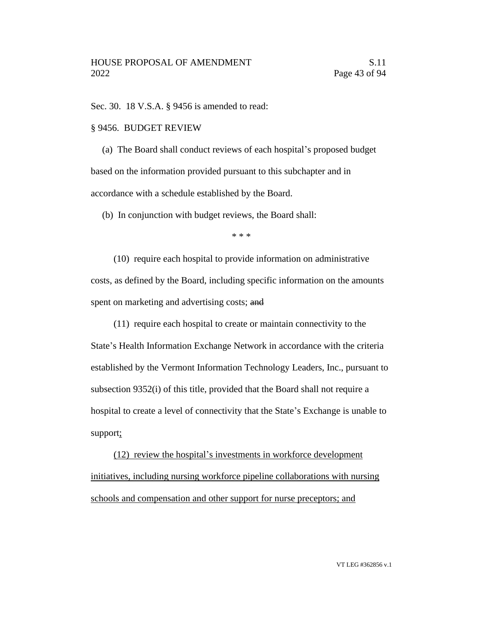Sec. 30. 18 V.S.A. § 9456 is amended to read:

#### § 9456. BUDGET REVIEW

(a) The Board shall conduct reviews of each hospital's proposed budget based on the information provided pursuant to this subchapter and in accordance with a schedule established by the Board.

(b) In conjunction with budget reviews, the Board shall:

\* \* \*

(10) require each hospital to provide information on administrative costs, as defined by the Board, including specific information on the amounts spent on marketing and advertising costs; and

(11) require each hospital to create or maintain connectivity to the

State's Health Information Exchange Network in accordance with the criteria established by the Vermont Information Technology Leaders, Inc., pursuant to subsection 9352(i) of this title, provided that the Board shall not require a hospital to create a level of connectivity that the State's Exchange is unable to support;

(12) review the hospital's investments in workforce development initiatives, including nursing workforce pipeline collaborations with nursing schools and compensation and other support for nurse preceptors; and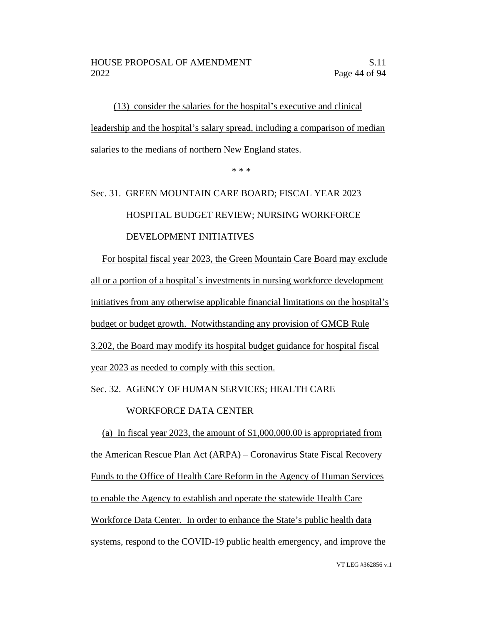(13) consider the salaries for the hospital's executive and clinical leadership and the hospital's salary spread, including a comparison of median salaries to the medians of northern New England states.

\* \* \*

# Sec. 31. GREEN MOUNTAIN CARE BOARD; FISCAL YEAR 2023 HOSPITAL BUDGET REVIEW; NURSING WORKFORCE DEVELOPMENT INITIATIVES

For hospital fiscal year 2023, the Green Mountain Care Board may exclude all or a portion of a hospital's investments in nursing workforce development initiatives from any otherwise applicable financial limitations on the hospital's budget or budget growth. Notwithstanding any provision of GMCB Rule 3.202, the Board may modify its hospital budget guidance for hospital fiscal year 2023 as needed to comply with this section.

Sec. 32. AGENCY OF HUMAN SERVICES; HEALTH CARE

#### WORKFORCE DATA CENTER

(a) In fiscal year 2023, the amount of \$1,000,000.00 is appropriated from the American Rescue Plan Act (ARPA) – Coronavirus State Fiscal Recovery Funds to the Office of Health Care Reform in the Agency of Human Services to enable the Agency to establish and operate the statewide Health Care Workforce Data Center. In order to enhance the State's public health data systems, respond to the COVID-19 public health emergency, and improve the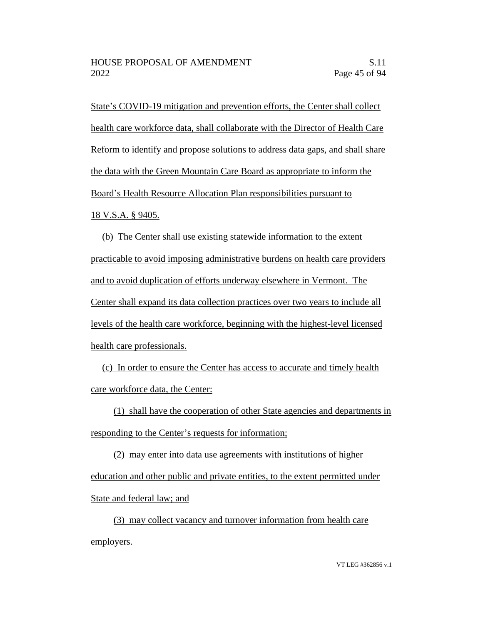State's COVID-19 mitigation and prevention efforts, the Center shall collect health care workforce data, shall collaborate with the Director of Health Care Reform to identify and propose solutions to address data gaps, and shall share the data with the Green Mountain Care Board as appropriate to inform the Board's Health Resource Allocation Plan responsibilities pursuant to 18 V.S.A. § 9405.

(b) The Center shall use existing statewide information to the extent practicable to avoid imposing administrative burdens on health care providers and to avoid duplication of efforts underway elsewhere in Vermont. The Center shall expand its data collection practices over two years to include all levels of the health care workforce, beginning with the highest-level licensed health care professionals.

(c) In order to ensure the Center has access to accurate and timely health care workforce data, the Center:

(1) shall have the cooperation of other State agencies and departments in responding to the Center's requests for information;

(2) may enter into data use agreements with institutions of higher education and other public and private entities, to the extent permitted under State and federal law; and

(3) may collect vacancy and turnover information from health care employers.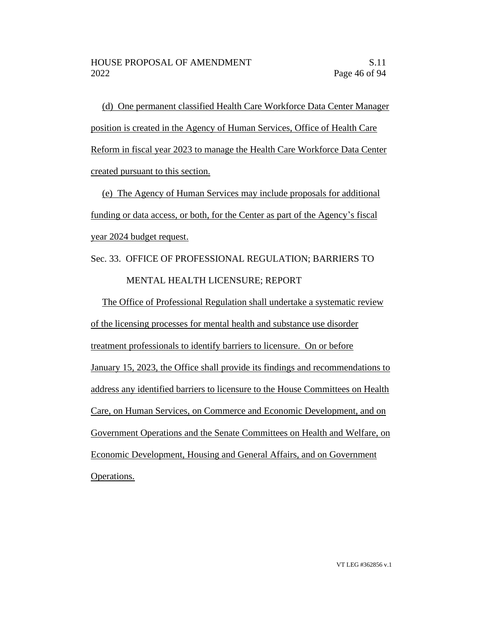(d) One permanent classified Health Care Workforce Data Center Manager position is created in the Agency of Human Services, Office of Health Care Reform in fiscal year 2023 to manage the Health Care Workforce Data Center created pursuant to this section.

(e) The Agency of Human Services may include proposals for additional funding or data access, or both, for the Center as part of the Agency's fiscal year 2024 budget request.

# Sec. 33. OFFICE OF PROFESSIONAL REGULATION; BARRIERS TO MENTAL HEALTH LICENSURE; REPORT

The Office of Professional Regulation shall undertake a systematic review of the licensing processes for mental health and substance use disorder treatment professionals to identify barriers to licensure. On or before January 15, 2023, the Office shall provide its findings and recommendations to address any identified barriers to licensure to the House Committees on Health Care, on Human Services, on Commerce and Economic Development, and on Government Operations and the Senate Committees on Health and Welfare, on Economic Development, Housing and General Affairs, and on Government Operations.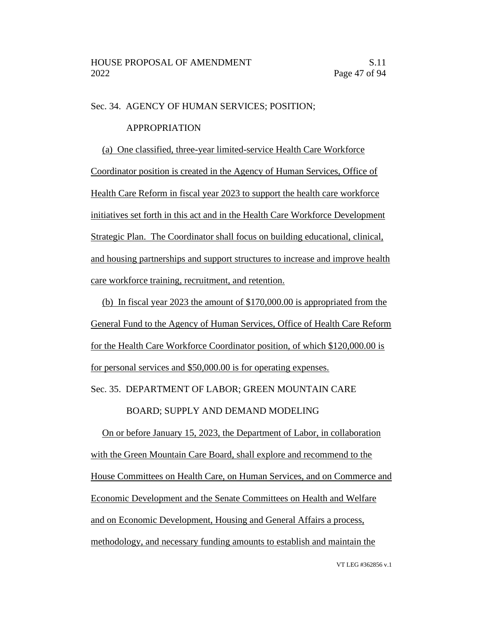#### Sec. 34. AGENCY OF HUMAN SERVICES; POSITION;

#### APPROPRIATION

(a) One classified, three-year limited-service Health Care Workforce Coordinator position is created in the Agency of Human Services, Office of Health Care Reform in fiscal year 2023 to support the health care workforce initiatives set forth in this act and in the Health Care Workforce Development Strategic Plan. The Coordinator shall focus on building educational, clinical, and housing partnerships and support structures to increase and improve health care workforce training, recruitment, and retention.

(b) In fiscal year 2023 the amount of \$170,000.00 is appropriated from the General Fund to the Agency of Human Services, Office of Health Care Reform for the Health Care Workforce Coordinator position, of which \$120,000.00 is for personal services and \$50,000.00 is for operating expenses.

Sec. 35. DEPARTMENT OF LABOR; GREEN MOUNTAIN CARE

#### BOARD; SUPPLY AND DEMAND MODELING

On or before January 15, 2023, the Department of Labor, in collaboration with the Green Mountain Care Board, shall explore and recommend to the House Committees on Health Care, on Human Services, and on Commerce and Economic Development and the Senate Committees on Health and Welfare and on Economic Development, Housing and General Affairs a process, methodology, and necessary funding amounts to establish and maintain the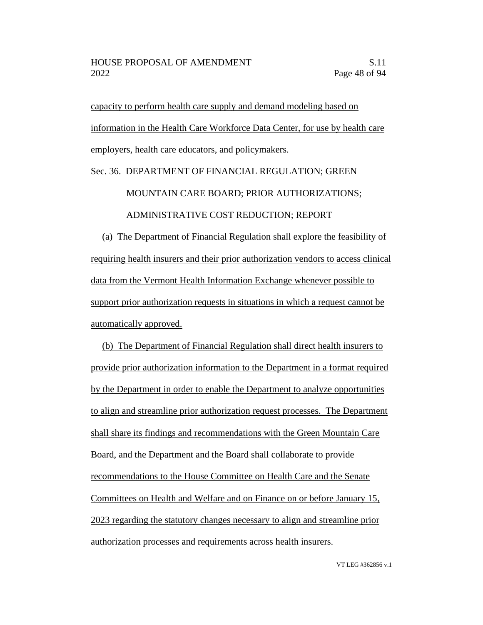capacity to perform health care supply and demand modeling based on information in the Health Care Workforce Data Center, for use by health care employers, health care educators, and policymakers.

#### Sec. 36. DEPARTMENT OF FINANCIAL REGULATION; GREEN

#### MOUNTAIN CARE BOARD; PRIOR AUTHORIZATIONS;

#### ADMINISTRATIVE COST REDUCTION; REPORT

(a) The Department of Financial Regulation shall explore the feasibility of requiring health insurers and their prior authorization vendors to access clinical data from the Vermont Health Information Exchange whenever possible to support prior authorization requests in situations in which a request cannot be automatically approved.

(b) The Department of Financial Regulation shall direct health insurers to provide prior authorization information to the Department in a format required by the Department in order to enable the Department to analyze opportunities to align and streamline prior authorization request processes. The Department shall share its findings and recommendations with the Green Mountain Care Board, and the Department and the Board shall collaborate to provide recommendations to the House Committee on Health Care and the Senate Committees on Health and Welfare and on Finance on or before January 15, 2023 regarding the statutory changes necessary to align and streamline prior authorization processes and requirements across health insurers.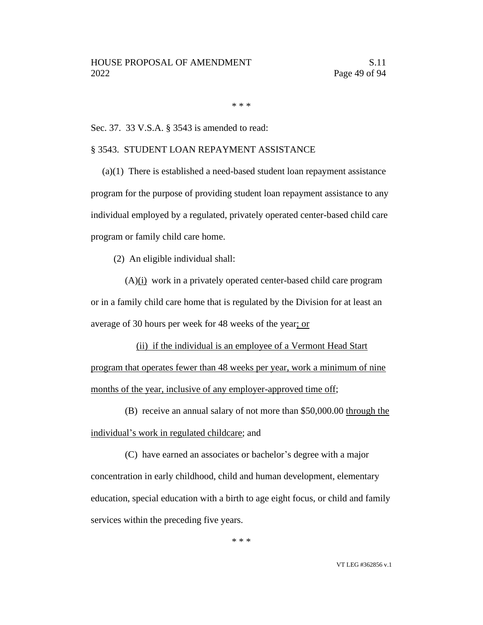\* \* \*

Sec. 37. 33 V.S.A. § 3543 is amended to read:

#### § 3543. STUDENT LOAN REPAYMENT ASSISTANCE

(a)(1) There is established a need-based student loan repayment assistance program for the purpose of providing student loan repayment assistance to any individual employed by a regulated, privately operated center-based child care program or family child care home.

(2) An eligible individual shall:

 $(A)(i)$  work in a privately operated center-based child care program or in a family child care home that is regulated by the Division for at least an average of 30 hours per week for 48 weeks of the year; or

(ii) if the individual is an employee of a Vermont Head Start program that operates fewer than 48 weeks per year, work a minimum of nine months of the year, inclusive of any employer-approved time off;

(B) receive an annual salary of not more than \$50,000.00 through the individual's work in regulated childcare; and

(C) have earned an associates or bachelor's degree with a major concentration in early childhood, child and human development, elementary education, special education with a birth to age eight focus, or child and family services within the preceding five years.

\* \* \*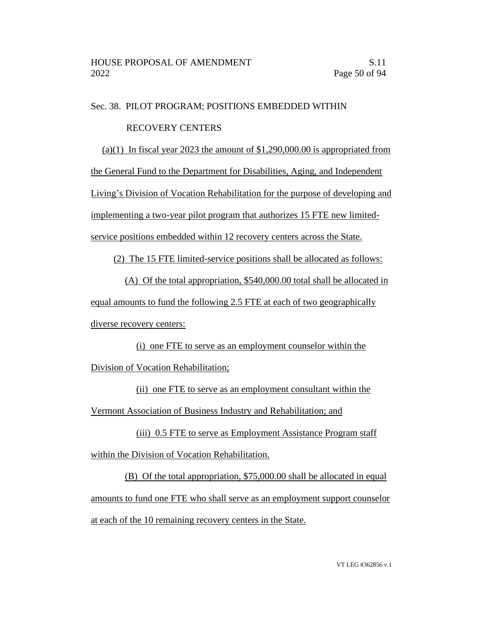#### Sec. 38. PILOT PROGRAM; POSITIONS EMBEDDED WITHIN

#### RECOVERY CENTERS

(a)(1) In fiscal year 2023 the amount of  $$1,290,000.00$  is appropriated from the General Fund to the Department for Disabilities, Aging, and Independent Living's Division of Vocation Rehabilitation for the purpose of developing and implementing a two-year pilot program that authorizes 15 FTE new limitedservice positions embedded within 12 recovery centers across the State.

(2) The 15 FTE limited-service positions shall be allocated as follows:

(A) Of the total appropriation, \$540,000.00 total shall be allocated in equal amounts to fund the following 2.5 FTE at each of two geographically diverse recovery centers:

(i) one FTE to serve as an employment counselor within the Division of Vocation Rehabilitation;

(ii) one FTE to serve as an employment consultant within the Vermont Association of Business Industry and Rehabilitation; and

(iii) 0.5 FTE to serve as Employment Assistance Program staff within the Division of Vocation Rehabilitation.

(B) Of the total appropriation, \$75,000.00 shall be allocated in equal amounts to fund one FTE who shall serve as an employment support counselor at each of the 10 remaining recovery centers in the State.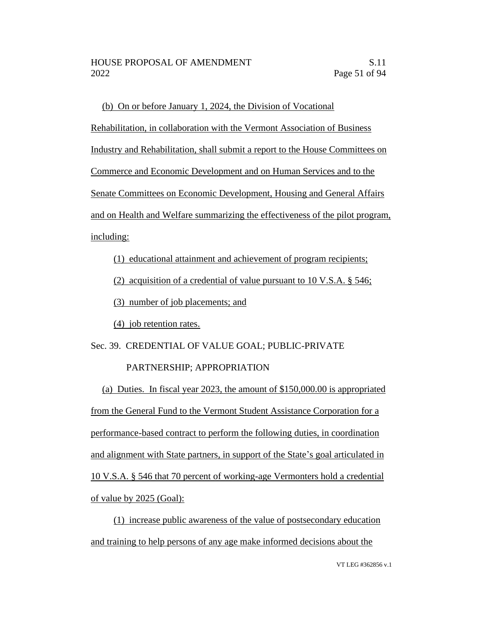(b) On or before January 1, 2024, the Division of Vocational Rehabilitation, in collaboration with the Vermont Association of Business Industry and Rehabilitation, shall submit a report to the House Committees on Commerce and Economic Development and on Human Services and to the Senate Committees on Economic Development, Housing and General Affairs and on Health and Welfare summarizing the effectiveness of the pilot program, including:

#### (1) educational attainment and achievement of program recipients;

(2) acquisition of a credential of value pursuant to 10 V.S.A. § 546;

(3) number of job placements; and

(4) job retention rates.

Sec. 39. CREDENTIAL OF VALUE GOAL; PUBLIC-PRIVATE

### PARTNERSHIP; APPROPRIATION

(a) Duties. In fiscal year 2023, the amount of \$150,000.00 is appropriated from the General Fund to the Vermont Student Assistance Corporation for a performance-based contract to perform the following duties, in coordination and alignment with State partners, in support of the State's goal articulated in 10 V.S.A. § 546 that 70 percent of working-age Vermonters hold a credential of value by 2025 (Goal):

(1) increase public awareness of the value of postsecondary education and training to help persons of any age make informed decisions about the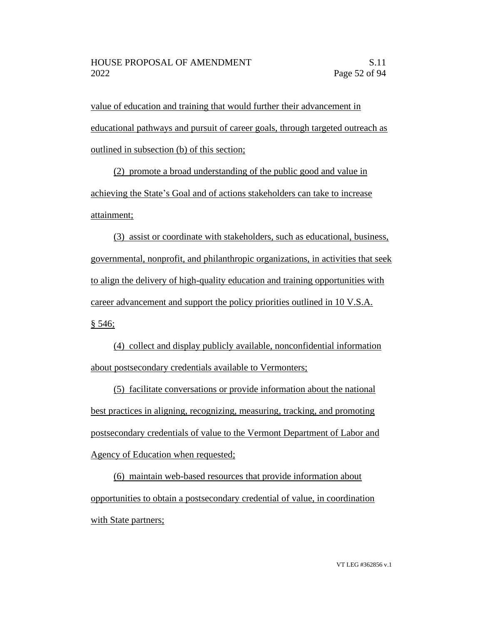value of education and training that would further their advancement in educational pathways and pursuit of career goals, through targeted outreach as outlined in subsection (b) of this section;

(2) promote a broad understanding of the public good and value in achieving the State's Goal and of actions stakeholders can take to increase attainment;

(3) assist or coordinate with stakeholders, such as educational, business, governmental, nonprofit, and philanthropic organizations, in activities that seek to align the delivery of high-quality education and training opportunities with career advancement and support the policy priorities outlined in 10 V.S.A.  $§ 546;$ 

(4) collect and display publicly available, nonconfidential information about postsecondary credentials available to Vermonters;

(5) facilitate conversations or provide information about the national best practices in aligning, recognizing, measuring, tracking, and promoting postsecondary credentials of value to the Vermont Department of Labor and Agency of Education when requested;

(6) maintain web-based resources that provide information about opportunities to obtain a postsecondary credential of value, in coordination with State partners;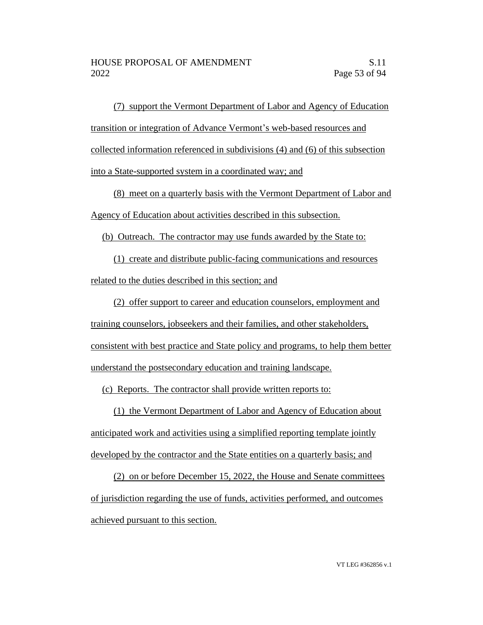(7) support the Vermont Department of Labor and Agency of Education transition or integration of Advance Vermont's web-based resources and collected information referenced in subdivisions (4) and (6) of this subsection into a State-supported system in a coordinated way; and

(8) meet on a quarterly basis with the Vermont Department of Labor and Agency of Education about activities described in this subsection.

(b) Outreach. The contractor may use funds awarded by the State to:

(1) create and distribute public-facing communications and resources related to the duties described in this section; and

(2) offer support to career and education counselors, employment and training counselors, jobseekers and their families, and other stakeholders, consistent with best practice and State policy and programs, to help them better understand the postsecondary education and training landscape.

(c) Reports. The contractor shall provide written reports to:

(1) the Vermont Department of Labor and Agency of Education about anticipated work and activities using a simplified reporting template jointly developed by the contractor and the State entities on a quarterly basis; and

(2) on or before December 15, 2022, the House and Senate committees of jurisdiction regarding the use of funds, activities performed, and outcomes achieved pursuant to this section.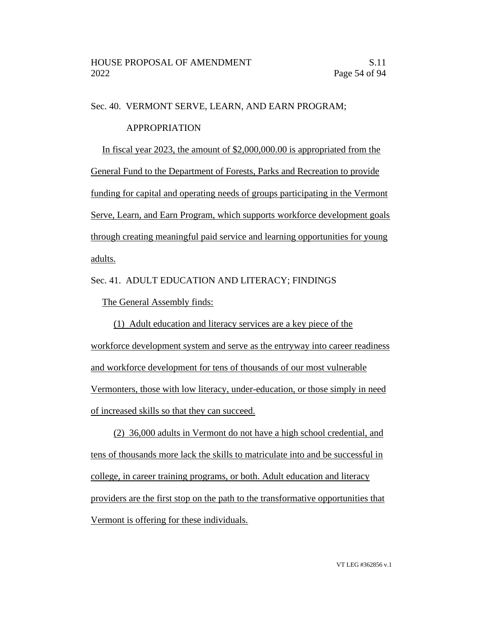#### Sec. 40. VERMONT SERVE, LEARN, AND EARN PROGRAM;

#### APPROPRIATION

In fiscal year 2023, the amount of \$2,000,000.00 is appropriated from the General Fund to the Department of Forests, Parks and Recreation to provide funding for capital and operating needs of groups participating in the Vermont Serve, Learn, and Earn Program, which supports workforce development goals through creating meaningful paid service and learning opportunities for young adults.

#### Sec. 41. ADULT EDUCATION AND LITERACY; FINDINGS

The General Assembly finds:

(1) Adult education and literacy services are a key piece of the workforce development system and serve as the entryway into career readiness and workforce development for tens of thousands of our most vulnerable Vermonters, those with low literacy, under-education, or those simply in need of increased skills so that they can succeed.

(2) 36,000 adults in Vermont do not have a high school credential, and tens of thousands more lack the skills to matriculate into and be successful in college, in career training programs, or both. Adult education and literacy providers are the first stop on the path to the transformative opportunities that Vermont is offering for these individuals.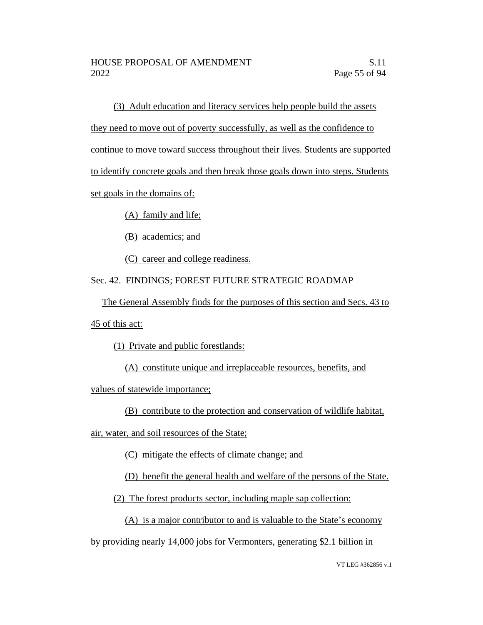(3) Adult education and literacy services help people build the assets they need to move out of poverty successfully, as well as the confidence to continue to move toward success throughout their lives. Students are supported to identify concrete goals and then break those goals down into steps. Students set goals in the domains of:

(A) family and life;

(B) academics; and

(C) career and college readiness.

Sec. 42. FINDINGS; FOREST FUTURE STRATEGIC ROADMAP

The General Assembly finds for the purposes of this section and Secs. 43 to

45 of this act:

(1) Private and public forestlands:

(A) constitute unique and irreplaceable resources, benefits, and

values of statewide importance;

(B) contribute to the protection and conservation of wildlife habitat,

air, water, and soil resources of the State;

(C) mitigate the effects of climate change; and

(D) benefit the general health and welfare of the persons of the State.

(2) The forest products sector, including maple sap collection:

(A) is a major contributor to and is valuable to the State's economy

by providing nearly 14,000 jobs for Vermonters, generating \$2.1 billion in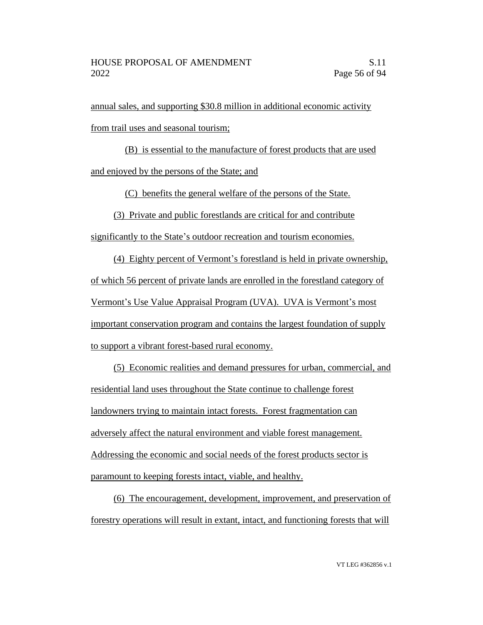annual sales, and supporting \$30.8 million in additional economic activity from trail uses and seasonal tourism;

(B) is essential to the manufacture of forest products that are used and enjoyed by the persons of the State; and

(C) benefits the general welfare of the persons of the State.

(3) Private and public forestlands are critical for and contribute

significantly to the State's outdoor recreation and tourism economies.

(4) Eighty percent of Vermont's forestland is held in private ownership, of which 56 percent of private lands are enrolled in the forestland category of Vermont's Use Value Appraisal Program (UVA). UVA is Vermont's most important conservation program and contains the largest foundation of supply to support a vibrant forest-based rural economy.

(5) Economic realities and demand pressures for urban, commercial, and residential land uses throughout the State continue to challenge forest landowners trying to maintain intact forests. Forest fragmentation can adversely affect the natural environment and viable forest management. Addressing the economic and social needs of the forest products sector is paramount to keeping forests intact, viable, and healthy.

(6) The encouragement, development, improvement, and preservation of forestry operations will result in extant, intact, and functioning forests that will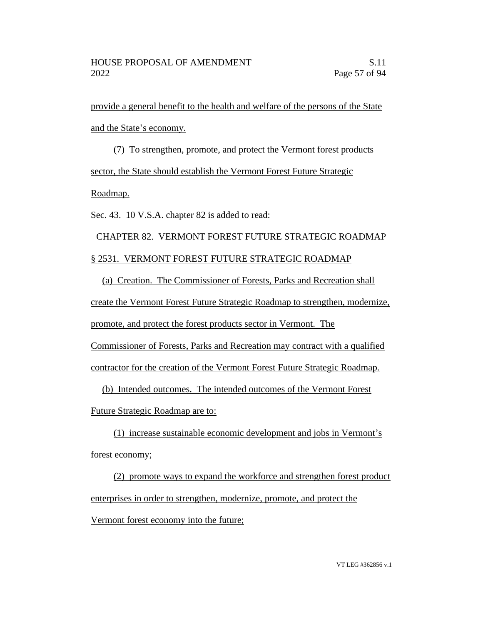provide a general benefit to the health and welfare of the persons of the State and the State's economy.

(7) To strengthen, promote, and protect the Vermont forest products sector, the State should establish the Vermont Forest Future Strategic

#### Roadmap.

Sec. 43. 10 V.S.A. chapter 82 is added to read:

## CHAPTER 82. VERMONT FOREST FUTURE STRATEGIC ROADMAP § 2531. VERMONT FOREST FUTURE STRATEGIC ROADMAP

(a) Creation. The Commissioner of Forests, Parks and Recreation shall create the Vermont Forest Future Strategic Roadmap to strengthen, modernize, promote, and protect the forest products sector in Vermont. The Commissioner of Forests, Parks and Recreation may contract with a qualified contractor for the creation of the Vermont Forest Future Strategic Roadmap.

(b) Intended outcomes. The intended outcomes of the Vermont Forest Future Strategic Roadmap are to:

(1) increase sustainable economic development and jobs in Vermont's forest economy;

(2) promote ways to expand the workforce and strengthen forest product enterprises in order to strengthen, modernize, promote, and protect the Vermont forest economy into the future;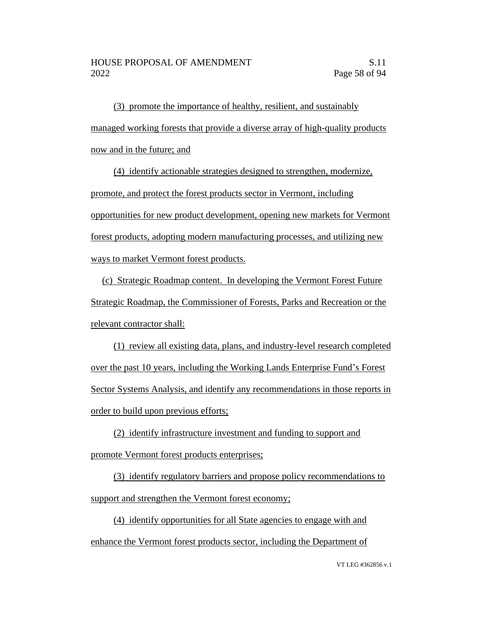(3) promote the importance of healthy, resilient, and sustainably managed working forests that provide a diverse array of high-quality products now and in the future; and

(4) identify actionable strategies designed to strengthen, modernize, promote, and protect the forest products sector in Vermont, including opportunities for new product development, opening new markets for Vermont forest products, adopting modern manufacturing processes, and utilizing new ways to market Vermont forest products.

(c) Strategic Roadmap content. In developing the Vermont Forest Future Strategic Roadmap, the Commissioner of Forests, Parks and Recreation or the relevant contractor shall:

(1) review all existing data, plans, and industry-level research completed over the past 10 years, including the Working Lands Enterprise Fund's Forest Sector Systems Analysis, and identify any recommendations in those reports in order to build upon previous efforts;

(2) identify infrastructure investment and funding to support and promote Vermont forest products enterprises;

(3) identify regulatory barriers and propose policy recommendations to support and strengthen the Vermont forest economy;

(4) identify opportunities for all State agencies to engage with and enhance the Vermont forest products sector, including the Department of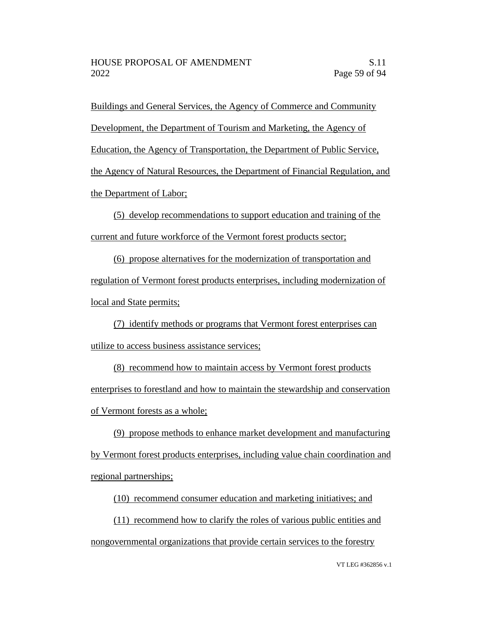Buildings and General Services, the Agency of Commerce and Community Development, the Department of Tourism and Marketing, the Agency of Education, the Agency of Transportation, the Department of Public Service, the Agency of Natural Resources, the Department of Financial Regulation, and the Department of Labor;

(5) develop recommendations to support education and training of the current and future workforce of the Vermont forest products sector;

(6) propose alternatives for the modernization of transportation and regulation of Vermont forest products enterprises, including modernization of local and State permits;

(7) identify methods or programs that Vermont forest enterprises can utilize to access business assistance services;

(8) recommend how to maintain access by Vermont forest products enterprises to forestland and how to maintain the stewardship and conservation of Vermont forests as a whole;

(9) propose methods to enhance market development and manufacturing by Vermont forest products enterprises, including value chain coordination and regional partnerships;

(10) recommend consumer education and marketing initiatives; and

(11) recommend how to clarify the roles of various public entities and nongovernmental organizations that provide certain services to the forestry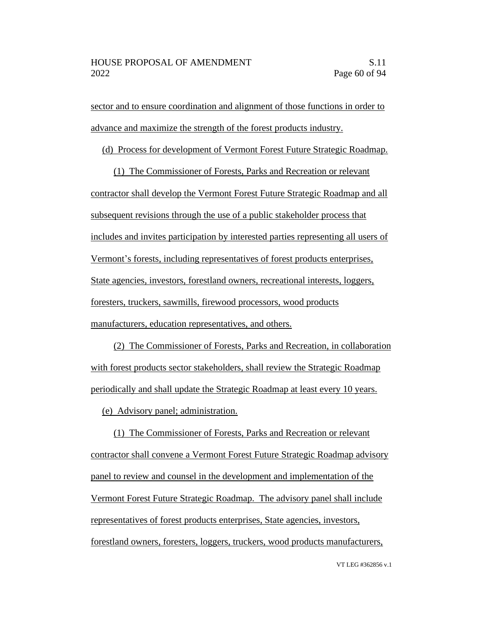sector and to ensure coordination and alignment of those functions in order to advance and maximize the strength of the forest products industry.

(d) Process for development of Vermont Forest Future Strategic Roadmap.

(1) The Commissioner of Forests, Parks and Recreation or relevant contractor shall develop the Vermont Forest Future Strategic Roadmap and all subsequent revisions through the use of a public stakeholder process that includes and invites participation by interested parties representing all users of Vermont's forests, including representatives of forest products enterprises, State agencies, investors, forestland owners, recreational interests, loggers, foresters, truckers, sawmills, firewood processors, wood products manufacturers, education representatives, and others.

(2) The Commissioner of Forests, Parks and Recreation, in collaboration with forest products sector stakeholders, shall review the Strategic Roadmap periodically and shall update the Strategic Roadmap at least every 10 years.

(e) Advisory panel; administration.

(1) The Commissioner of Forests, Parks and Recreation or relevant contractor shall convene a Vermont Forest Future Strategic Roadmap advisory panel to review and counsel in the development and implementation of the Vermont Forest Future Strategic Roadmap. The advisory panel shall include representatives of forest products enterprises, State agencies, investors, forestland owners, foresters, loggers, truckers, wood products manufacturers,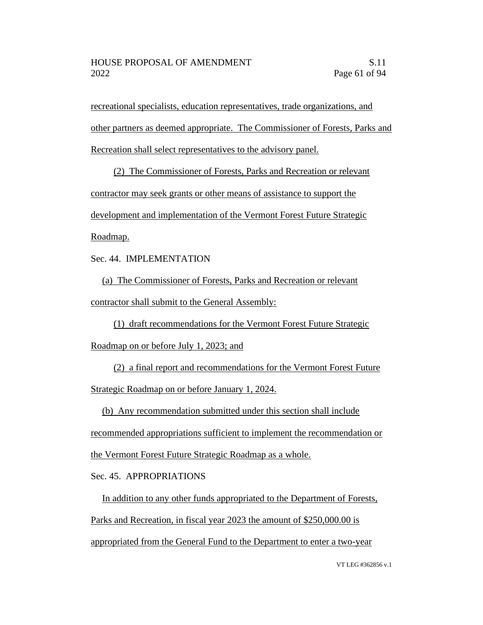recreational specialists, education representatives, trade organizations, and other partners as deemed appropriate. The Commissioner of Forests, Parks and Recreation shall select representatives to the advisory panel.

(2) The Commissioner of Forests, Parks and Recreation or relevant contractor may seek grants or other means of assistance to support the development and implementation of the Vermont Forest Future Strategic Roadmap.

Sec. 44. IMPLEMENTATION

(a) The Commissioner of Forests, Parks and Recreation or relevant contractor shall submit to the General Assembly:

(1) draft recommendations for the Vermont Forest Future Strategic

Roadmap on or before July 1, 2023; and

(2) a final report and recommendations for the Vermont Forest Future Strategic Roadmap on or before January 1, 2024.

(b) Any recommendation submitted under this section shall include

recommended appropriations sufficient to implement the recommendation or

the Vermont Forest Future Strategic Roadmap as a whole.

Sec. 45. APPROPRIATIONS

In addition to any other funds appropriated to the Department of Forests, Parks and Recreation, in fiscal year 2023 the amount of \$250,000.00 is appropriated from the General Fund to the Department to enter a two-year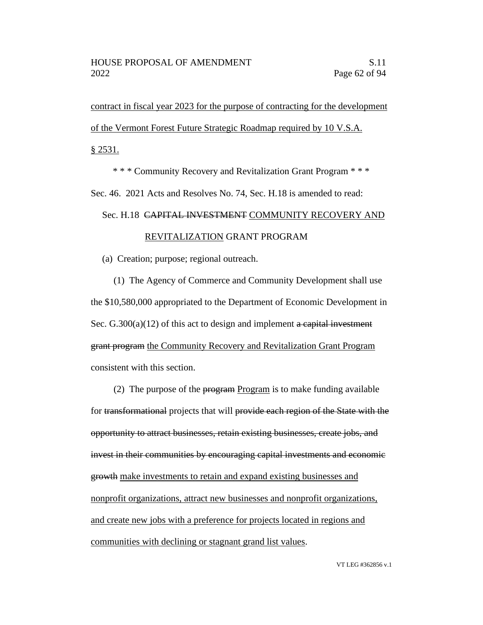contract in fiscal year 2023 for the purpose of contracting for the development of the Vermont Forest Future Strategic Roadmap required by 10 V.S.A. § 2531.

\* \* \* Community Recovery and Revitalization Grant Program \* \* \*

Sec. 46. 2021 Acts and Resolves No. 74, Sec. H.18 is amended to read:

## Sec. H.18 CAPITAL INVESTMENT COMMUNITY RECOVERY AND REVITALIZATION GRANT PROGRAM

(a) Creation; purpose; regional outreach.

(1) The Agency of Commerce and Community Development shall use the \$10,580,000 appropriated to the Department of Economic Development in Sec.  $G.300(a)(12)$  of this act to design and implement a capital investment grant program the Community Recovery and Revitalization Grant Program consistent with this section.

(2) The purpose of the  $\frac{1}{2}$  program Program is to make funding available for transformational projects that will provide each region of the State with the opportunity to attract businesses, retain existing businesses, create jobs, and invest in their communities by encouraging capital investments and economic growth make investments to retain and expand existing businesses and nonprofit organizations, attract new businesses and nonprofit organizations, and create new jobs with a preference for projects located in regions and communities with declining or stagnant grand list values.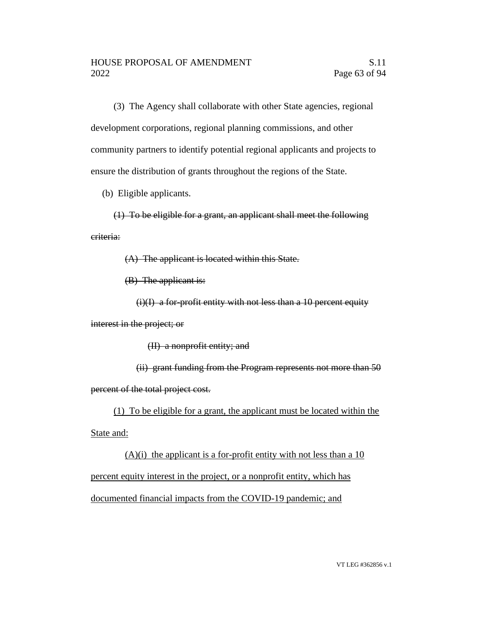(3) The Agency shall collaborate with other State agencies, regional development corporations, regional planning commissions, and other community partners to identify potential regional applicants and projects to ensure the distribution of grants throughout the regions of the State.

(b) Eligible applicants.

(1) To be eligible for a grant, an applicant shall meet the following criteria:

(A) The applicant is located within this State.

(B) The applicant is:

 $(i)(I)$  a for-profit entity with not less than a 10 percent equity

interest in the project; or

(II) a nonprofit entity; and

(ii) grant funding from the Program represents not more than 50 percent of the total project cost.

(1) To be eligible for a grant, the applicant must be located within the

State and:

 $(A)(i)$  the applicant is a for-profit entity with not less than a 10 percent equity interest in the project, or a nonprofit entity, which has documented financial impacts from the COVID-19 pandemic; and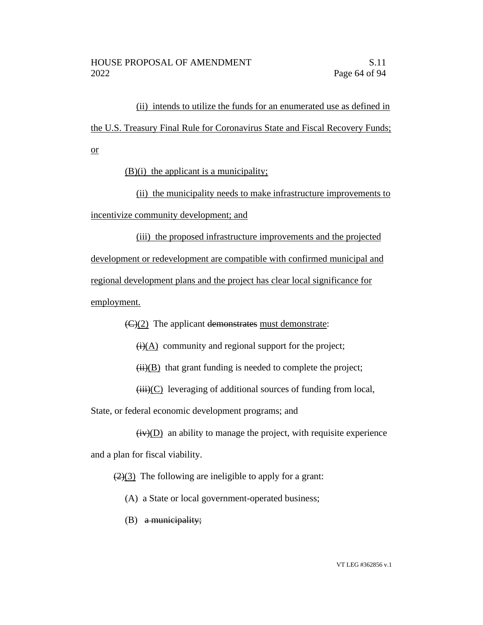(ii) intends to utilize the funds for an enumerated use as defined in the U.S. Treasury Final Rule for Coronavirus State and Fiscal Recovery Funds; or

(B)(i) the applicant is a municipality;

(ii) the municipality needs to make infrastructure improvements to incentivize community development; and

(iii) the proposed infrastructure improvements and the projected development or redevelopment are compatible with confirmed municipal and regional development plans and the project has clear local significance for employment.

 $\left(\frac{C}{2}\right)$  The applicant demonstrates must demonstrate:

 $\overline{(i)}$ (A) community and regional support for the project;

 $(ii)(B)$  that grant funding is needed to complete the project;

 $(iii)(C)$  leveraging of additional sources of funding from local,

State, or federal economic development programs; and

 $(iv)(D)$  an ability to manage the project, with requisite experience and a plan for fiscal viability.

 $(2)(3)$  The following are ineligible to apply for a grant:

- (A) a State or local government-operated business;
- $(B)$  a municipality;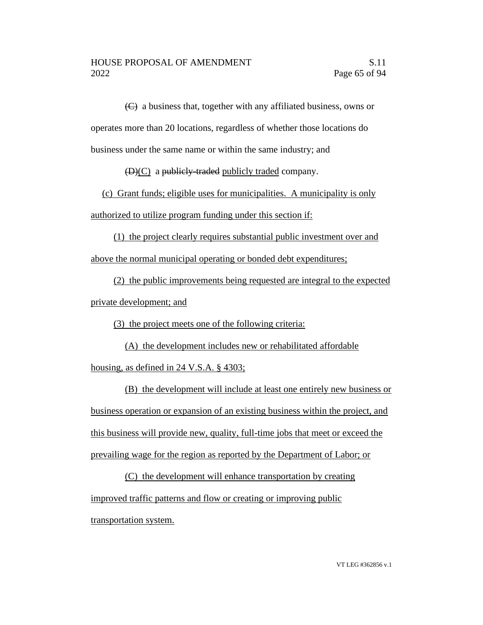(C) a business that, together with any affiliated business, owns or operates more than 20 locations, regardless of whether those locations do business under the same name or within the same industry; and

(D)(C) a publicly-traded publicly traded company.

(c) Grant funds; eligible uses for municipalities. A municipality is only authorized to utilize program funding under this section if:

(1) the project clearly requires substantial public investment over and above the normal municipal operating or bonded debt expenditures;

(2) the public improvements being requested are integral to the expected private development; and

(3) the project meets one of the following criteria:

(A) the development includes new or rehabilitated affordable housing, as defined in 24 V.S.A. § 4303;

(B) the development will include at least one entirely new business or business operation or expansion of an existing business within the project, and this business will provide new, quality, full-time jobs that meet or exceed the prevailing wage for the region as reported by the Department of Labor; or

(C) the development will enhance transportation by creating improved traffic patterns and flow or creating or improving public transportation system.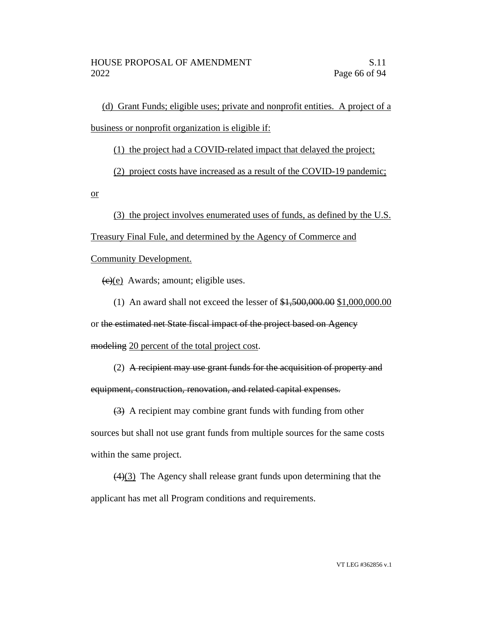(d) Grant Funds; eligible uses; private and nonprofit entities. A project of a business or nonprofit organization is eligible if:

(1) the project had a COVID-related impact that delayed the project;

(2) project costs have increased as a result of the COVID-19 pandemic;

or

(3) the project involves enumerated uses of funds, as defined by the U.S.

Treasury Final Fule, and determined by the Agency of Commerce and

Community Development.

 $(e)(e)$  Awards; amount; eligible uses.

(1) An award shall not exceed the lesser of \$1,500,000.00 \$1,000,000.00

or the estimated net State fiscal impact of the project based on Agency

modeling 20 percent of the total project cost.

(2) A recipient may use grant funds for the acquisition of property and

equipment, construction, renovation, and related capital expenses.

(3) A recipient may combine grant funds with funding from other sources but shall not use grant funds from multiple sources for the same costs within the same project.

(4)(3) The Agency shall release grant funds upon determining that the applicant has met all Program conditions and requirements.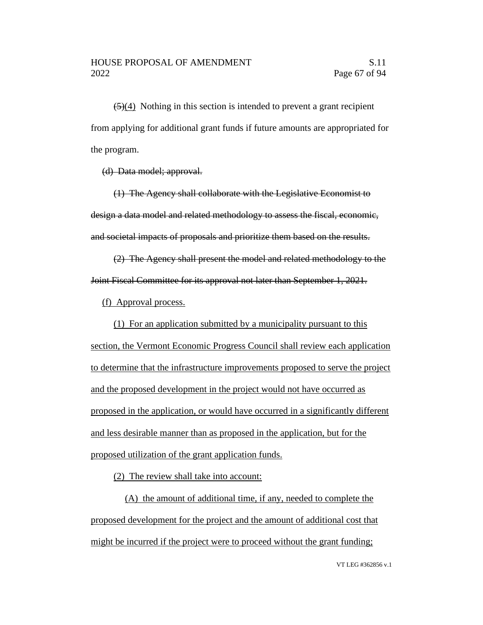$(5)(4)$  Nothing in this section is intended to prevent a grant recipient from applying for additional grant funds if future amounts are appropriated for the program.

(d) Data model; approval.

(1) The Agency shall collaborate with the Legislative Economist to design a data model and related methodology to assess the fiscal, economic, and societal impacts of proposals and prioritize them based on the results.

(2) The Agency shall present the model and related methodology to the Joint Fiscal Committee for its approval not later than September 1, 2021.

(f) Approval process.

(1) For an application submitted by a municipality pursuant to this section, the Vermont Economic Progress Council shall review each application to determine that the infrastructure improvements proposed to serve the project and the proposed development in the project would not have occurred as proposed in the application, or would have occurred in a significantly different and less desirable manner than as proposed in the application, but for the proposed utilization of the grant application funds.

(2) The review shall take into account:

(A) the amount of additional time, if any, needed to complete the proposed development for the project and the amount of additional cost that might be incurred if the project were to proceed without the grant funding;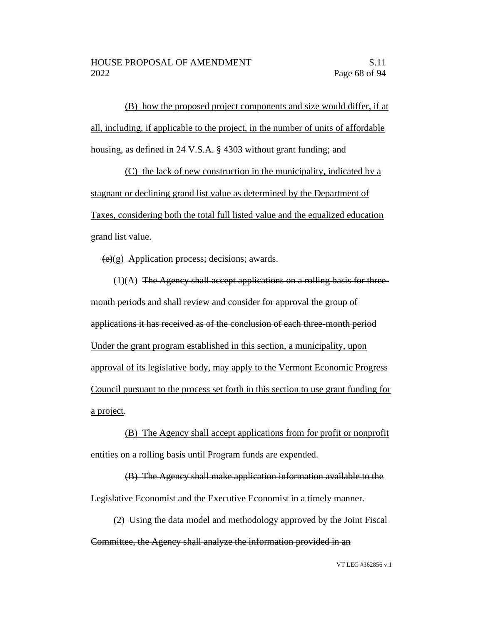(B) how the proposed project components and size would differ, if at all, including, if applicable to the project, in the number of units of affordable housing, as defined in 24 V.S.A. § 4303 without grant funding; and

(C) the lack of new construction in the municipality, indicated by a stagnant or declining grand list value as determined by the Department of Taxes, considering both the total full listed value and the equalized education grand list value.

 $(e)(g)$  Application process; decisions; awards.

 $(1)(A)$  The Agency shall accept applications on a rolling basis for threemonth periods and shall review and consider for approval the group of applications it has received as of the conclusion of each three-month period Under the grant program established in this section, a municipality, upon approval of its legislative body, may apply to the Vermont Economic Progress Council pursuant to the process set forth in this section to use grant funding for a project.

(B) The Agency shall accept applications from for profit or nonprofit entities on a rolling basis until Program funds are expended.

(B) The Agency shall make application information available to the Legislative Economist and the Executive Economist in a timely manner.

(2) Using the data model and methodology approved by the Joint Fiscal Committee, the Agency shall analyze the information provided in an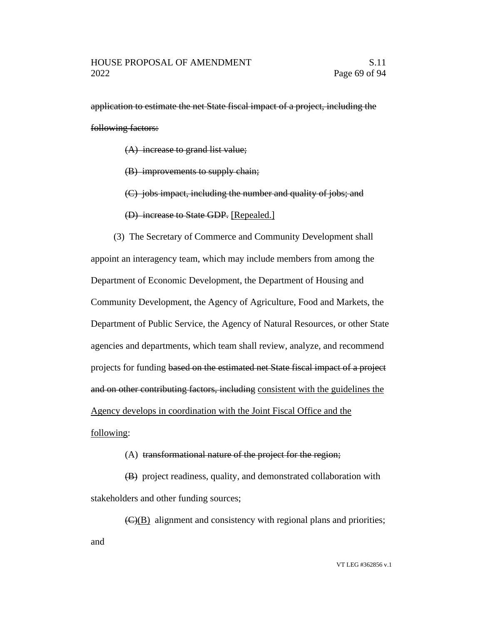application to estimate the net State fiscal impact of a project, including the following factors:

(A) increase to grand list value;

(B) improvements to supply chain;

(C) jobs impact, including the number and quality of jobs; and

(D) increase to State GDP. [Repealed.]

(3) The Secretary of Commerce and Community Development shall appoint an interagency team, which may include members from among the Department of Economic Development, the Department of Housing and Community Development, the Agency of Agriculture, Food and Markets, the Department of Public Service, the Agency of Natural Resources, or other State agencies and departments, which team shall review, analyze, and recommend projects for funding based on the estimated net State fiscal impact of a project and on other contributing factors, including consistent with the guidelines the Agency develops in coordination with the Joint Fiscal Office and the

#### following:

#### (A) transformational nature of the project for the region;

(B) project readiness, quality, and demonstrated collaboration with stakeholders and other funding sources;

 $\overline{(C)(B)}$  alignment and consistency with regional plans and priorities; and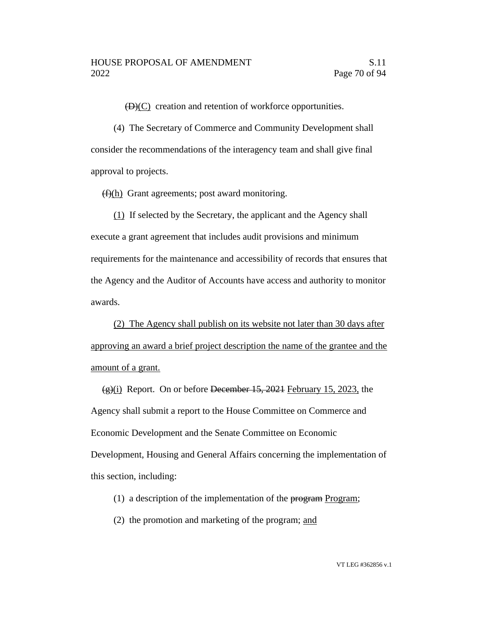$(D)(C)$  creation and retention of workforce opportunities.

(4) The Secretary of Commerce and Community Development shall consider the recommendations of the interagency team and shall give final approval to projects.

 $(f)(h)$  Grant agreements; post award monitoring.

(1) If selected by the Secretary, the applicant and the Agency shall execute a grant agreement that includes audit provisions and minimum requirements for the maintenance and accessibility of records that ensures that the Agency and the Auditor of Accounts have access and authority to monitor awards.

(2) The Agency shall publish on its website not later than 30 days after approving an award a brief project description the name of the grantee and the amount of a grant.

 $\frac{1}{2}$ (i) Report. On or before December 15, 2021 February 15, 2023, the Agency shall submit a report to the House Committee on Commerce and Economic Development and the Senate Committee on Economic Development, Housing and General Affairs concerning the implementation of this section, including:

- (1) a description of the implementation of the  $\frac{1}{2}$  program;
- (2) the promotion and marketing of the program; and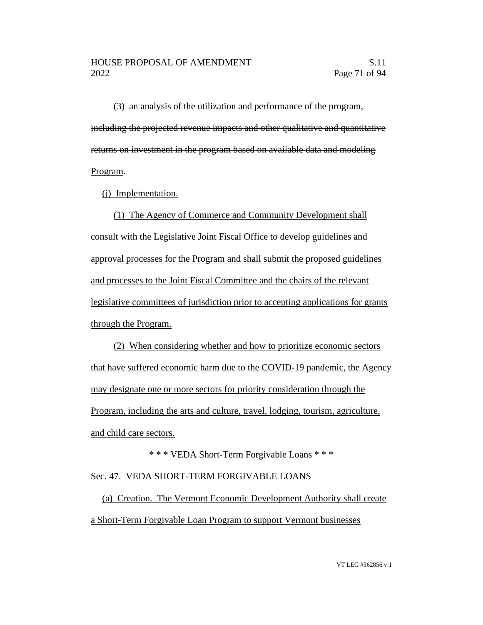(3) an analysis of the utilization and performance of the program, including the projected revenue impacts and other qualitative and quantitative returns on investment in the program based on available data and modeling Program.

(j) Implementation.

(1) The Agency of Commerce and Community Development shall consult with the Legislative Joint Fiscal Office to develop guidelines and approval processes for the Program and shall submit the proposed guidelines and processes to the Joint Fiscal Committee and the chairs of the relevant legislative committees of jurisdiction prior to accepting applications for grants through the Program.

(2) When considering whether and how to prioritize economic sectors that have suffered economic harm due to the COVID-19 pandemic, the Agency may designate one or more sectors for priority consideration through the Program, including the arts and culture, travel, lodging, tourism, agriculture, and child care sectors.

\* \* \* VEDA Short-Term Forgivable Loans \* \* \* Sec. 47. VEDA SHORT-TERM FORGIVABLE LOANS

(a) Creation. The Vermont Economic Development Authority shall create a Short-Term Forgivable Loan Program to support Vermont businesses

VT LEG #362856 v.1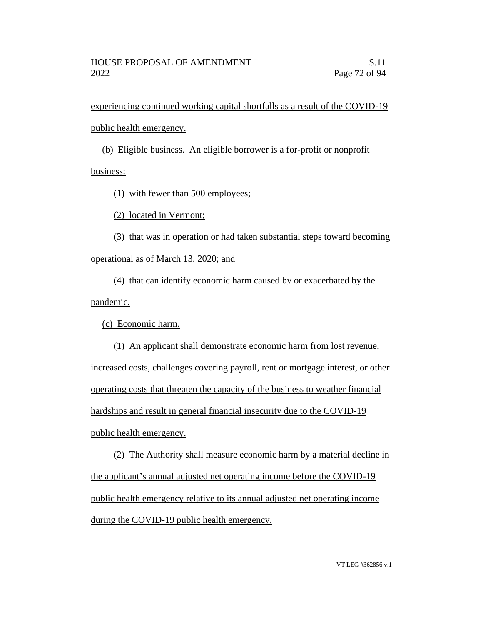experiencing continued working capital shortfalls as a result of the COVID-19 public health emergency.

(b) Eligible business. An eligible borrower is a for-profit or nonprofit business:

(1) with fewer than 500 employees;

(2) located in Vermont;

(3) that was in operation or had taken substantial steps toward becoming operational as of March 13, 2020; and

(4) that can identify economic harm caused by or exacerbated by the pandemic.

(c) Economic harm.

(1) An applicant shall demonstrate economic harm from lost revenue, increased costs, challenges covering payroll, rent or mortgage interest, or other operating costs that threaten the capacity of the business to weather financial hardships and result in general financial insecurity due to the COVID-19 public health emergency.

(2) The Authority shall measure economic harm by a material decline in the applicant's annual adjusted net operating income before the COVID-19 public health emergency relative to its annual adjusted net operating income during the COVID-19 public health emergency.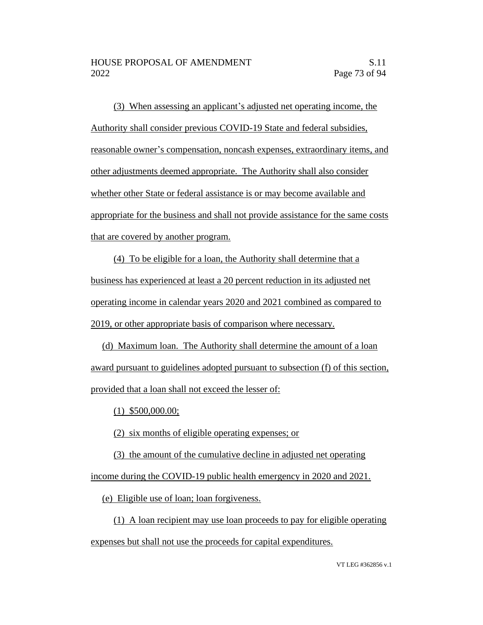(3) When assessing an applicant's adjusted net operating income, the Authority shall consider previous COVID-19 State and federal subsidies, reasonable owner's compensation, noncash expenses, extraordinary items, and other adjustments deemed appropriate. The Authority shall also consider whether other State or federal assistance is or may become available and appropriate for the business and shall not provide assistance for the same costs that are covered by another program.

(4) To be eligible for a loan, the Authority shall determine that a business has experienced at least a 20 percent reduction in its adjusted net operating income in calendar years 2020 and 2021 combined as compared to 2019, or other appropriate basis of comparison where necessary.

(d) Maximum loan. The Authority shall determine the amount of a loan award pursuant to guidelines adopted pursuant to subsection (f) of this section, provided that a loan shall not exceed the lesser of:

(1) \$500,000.00;

(2) six months of eligible operating expenses; or

(3) the amount of the cumulative decline in adjusted net operating income during the COVID-19 public health emergency in 2020 and 2021.

(e) Eligible use of loan; loan forgiveness.

(1) A loan recipient may use loan proceeds to pay for eligible operating expenses but shall not use the proceeds for capital expenditures.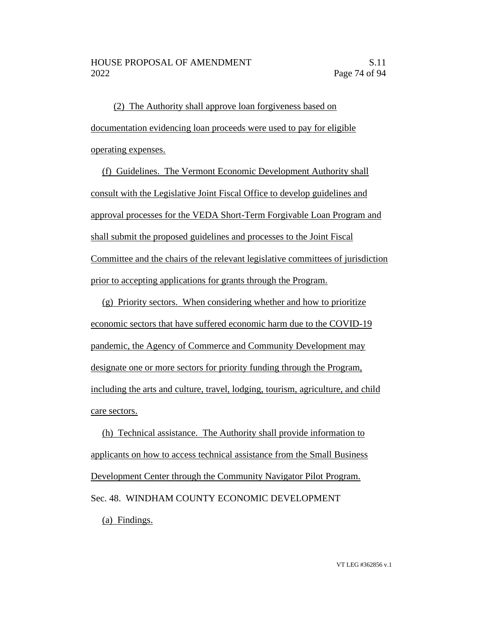(2) The Authority shall approve loan forgiveness based on documentation evidencing loan proceeds were used to pay for eligible operating expenses.

(f) Guidelines. The Vermont Economic Development Authority shall consult with the Legislative Joint Fiscal Office to develop guidelines and approval processes for the VEDA Short-Term Forgivable Loan Program and shall submit the proposed guidelines and processes to the Joint Fiscal Committee and the chairs of the relevant legislative committees of jurisdiction prior to accepting applications for grants through the Program.

(g) Priority sectors. When considering whether and how to prioritize economic sectors that have suffered economic harm due to the COVID-19 pandemic, the Agency of Commerce and Community Development may designate one or more sectors for priority funding through the Program, including the arts and culture, travel, lodging, tourism, agriculture, and child care sectors.

(h) Technical assistance. The Authority shall provide information to applicants on how to access technical assistance from the Small Business Development Center through the Community Navigator Pilot Program. Sec. 48. WINDHAM COUNTY ECONOMIC DEVELOPMENT (a) Findings.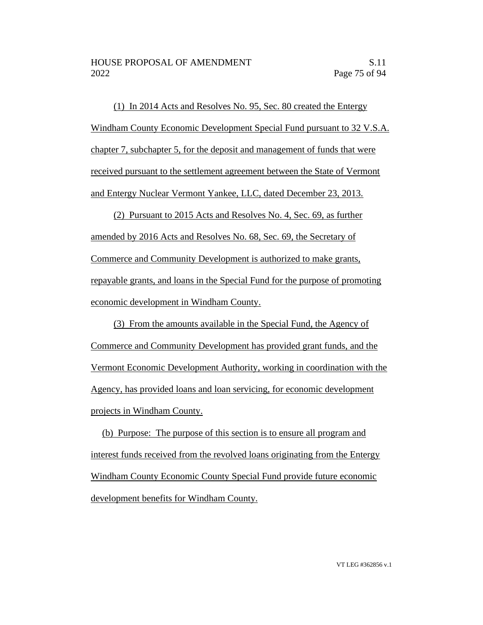(1) In 2014 Acts and Resolves No. 95, Sec. 80 created the Entergy Windham County Economic Development Special Fund pursuant to 32 V.S.A. chapter 7, subchapter 5, for the deposit and management of funds that were received pursuant to the settlement agreement between the State of Vermont and Entergy Nuclear Vermont Yankee, LLC, dated December 23, 2013.

(2) Pursuant to 2015 Acts and Resolves No. 4, Sec. 69, as further amended by 2016 Acts and Resolves No. 68, Sec. 69, the Secretary of Commerce and Community Development is authorized to make grants, repayable grants, and loans in the Special Fund for the purpose of promoting economic development in Windham County.

(3) From the amounts available in the Special Fund, the Agency of Commerce and Community Development has provided grant funds, and the Vermont Economic Development Authority, working in coordination with the Agency, has provided loans and loan servicing, for economic development projects in Windham County.

(b) Purpose: The purpose of this section is to ensure all program and interest funds received from the revolved loans originating from the Entergy Windham County Economic County Special Fund provide future economic development benefits for Windham County.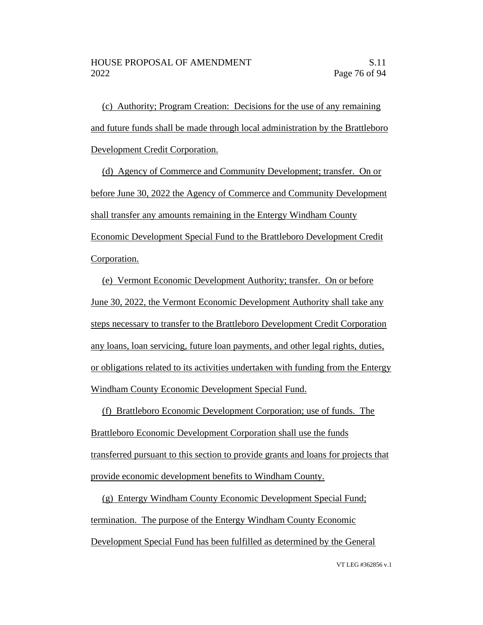(c) Authority; Program Creation: Decisions for the use of any remaining and future funds shall be made through local administration by the Brattleboro Development Credit Corporation.

(d) Agency of Commerce and Community Development; transfer. On or before June 30, 2022 the Agency of Commerce and Community Development shall transfer any amounts remaining in the Entergy Windham County Economic Development Special Fund to the Brattleboro Development Credit Corporation.

(e) Vermont Economic Development Authority; transfer. On or before June 30, 2022, the Vermont Economic Development Authority shall take any steps necessary to transfer to the Brattleboro Development Credit Corporation any loans, loan servicing, future loan payments, and other legal rights, duties, or obligations related to its activities undertaken with funding from the Entergy Windham County Economic Development Special Fund.

(f) Brattleboro Economic Development Corporation; use of funds. The Brattleboro Economic Development Corporation shall use the funds transferred pursuant to this section to provide grants and loans for projects that provide economic development benefits to Windham County.

(g) Entergy Windham County Economic Development Special Fund; termination. The purpose of the Entergy Windham County Economic Development Special Fund has been fulfilled as determined by the General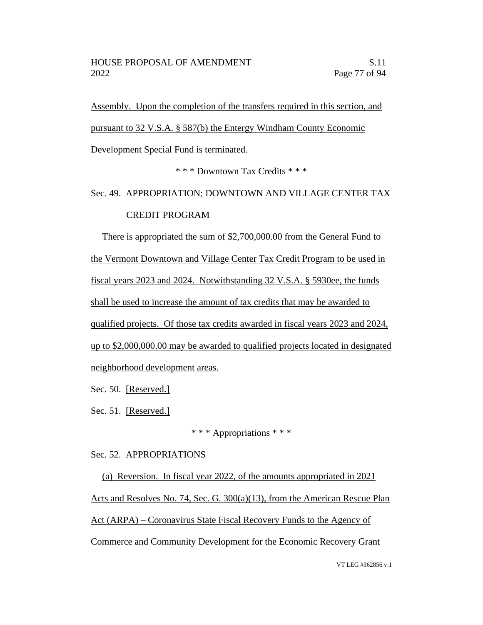Assembly. Upon the completion of the transfers required in this section, and

pursuant to 32 V.S.A. § 587(b) the Entergy Windham County Economic

Development Special Fund is terminated.

\* \* \* Downtown Tax Credits \* \* \*

Sec. 49. APPROPRIATION; DOWNTOWN AND VILLAGE CENTER TAX CREDIT PROGRAM

There is appropriated the sum of \$2,700,000.00 from the General Fund to the Vermont Downtown and Village Center Tax Credit Program to be used in fiscal years 2023 and 2024. Notwithstanding 32 V.S.A. § 5930ee, the funds shall be used to increase the amount of tax credits that may be awarded to qualified projects. Of those tax credits awarded in fiscal years 2023 and 2024, up to \$2,000,000.00 may be awarded to qualified projects located in designated neighborhood development areas.

Sec. 50. [Reserved.]

Sec. 51. [Reserved.]

\* \* \* Appropriations \* \* \*

Sec. 52. APPROPRIATIONS

(a) Reversion. In fiscal year 2022, of the amounts appropriated in 2021 Acts and Resolves No. 74, Sec. G. 300(a)(13), from the American Rescue Plan Act (ARPA) – Coronavirus State Fiscal Recovery Funds to the Agency of Commerce and Community Development for the Economic Recovery Grant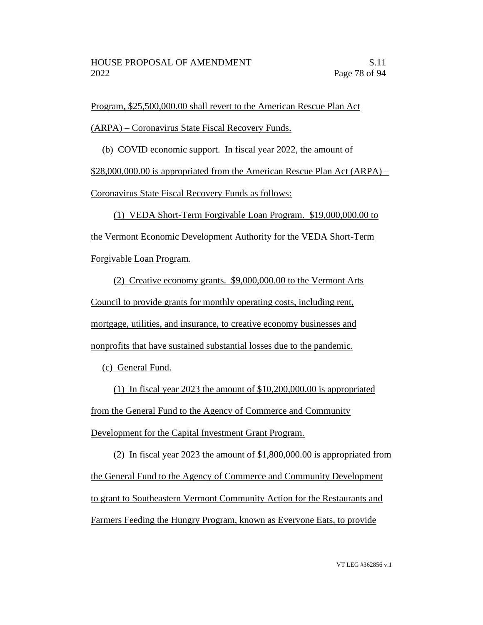Program, \$25,500,000.00 shall revert to the American Rescue Plan Act

(ARPA) – Coronavirus State Fiscal Recovery Funds.

(b) COVID economic support. In fiscal year 2022, the amount of

\$28,000,000.00 is appropriated from the American Rescue Plan Act (ARPA) –

Coronavirus State Fiscal Recovery Funds as follows:

(1) VEDA Short-Term Forgivable Loan Program. \$19,000,000.00 to the Vermont Economic Development Authority for the VEDA Short-Term

Forgivable Loan Program.

(2) Creative economy grants. \$9,000,000.00 to the Vermont Arts Council to provide grants for monthly operating costs, including rent, mortgage, utilities, and insurance, to creative economy businesses and nonprofits that have sustained substantial losses due to the pandemic.

(c) General Fund.

(1) In fiscal year 2023 the amount of \$10,200,000.00 is appropriated from the General Fund to the Agency of Commerce and Community Development for the Capital Investment Grant Program.

(2) In fiscal year 2023 the amount of \$1,800,000.00 is appropriated from the General Fund to the Agency of Commerce and Community Development to grant to Southeastern Vermont Community Action for the Restaurants and Farmers Feeding the Hungry Program, known as Everyone Eats, to provide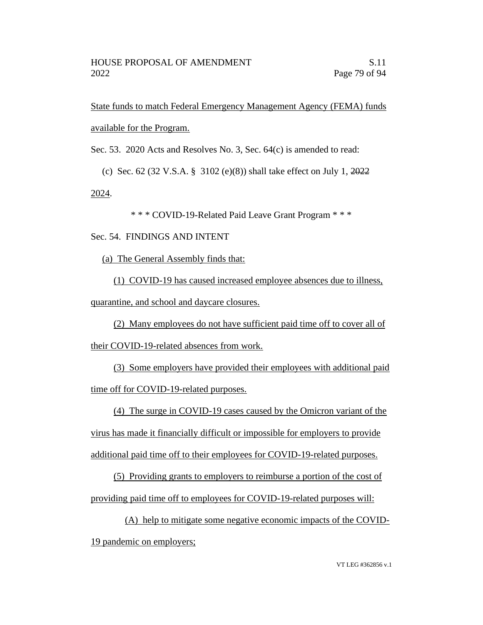State funds to match Federal Emergency Management Agency (FEMA) funds available for the Program.

Sec. 53. 2020 Acts and Resolves No. 3, Sec. 64(c) is amended to read:

(c) Sec. 62 (32 V.S.A. § 3102 (e)(8)) shall take effect on July 1,  $2022$ 

2024.

\* \* \* COVID-19-Related Paid Leave Grant Program \* \* \*

## Sec. 54. FINDINGS AND INTENT

(a) The General Assembly finds that:

(1) COVID-19 has caused increased employee absences due to illness,

quarantine, and school and daycare closures.

(2) Many employees do not have sufficient paid time off to cover all of their COVID-19-related absences from work.

(3) Some employers have provided their employees with additional paid time off for COVID-19-related purposes.

(4) The surge in COVID-19 cases caused by the Omicron variant of the

virus has made it financially difficult or impossible for employers to provide

additional paid time off to their employees for COVID-19-related purposes.

(5) Providing grants to employers to reimburse a portion of the cost of providing paid time off to employees for COVID-19-related purposes will:

(A) help to mitigate some negative economic impacts of the COVID-19 pandemic on employers;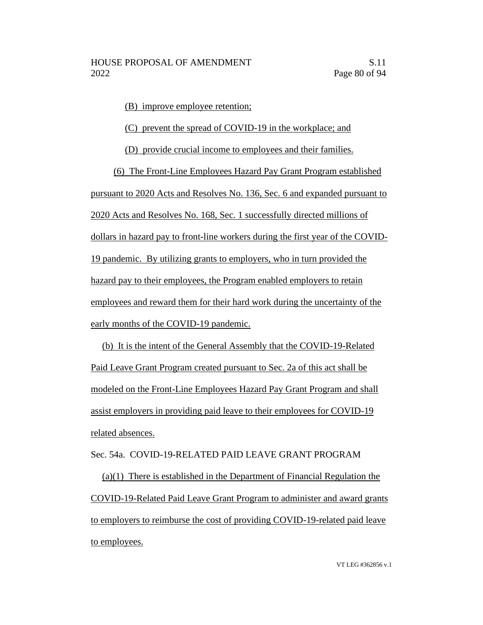(B) improve employee retention;

(C) prevent the spread of COVID-19 in the workplace; and

(D) provide crucial income to employees and their families.

(6) The Front-Line Employees Hazard Pay Grant Program established pursuant to 2020 Acts and Resolves No. 136, Sec. 6 and expanded pursuant to 2020 Acts and Resolves No. 168, Sec. 1 successfully directed millions of dollars in hazard pay to front-line workers during the first year of the COVID-19 pandemic. By utilizing grants to employers, who in turn provided the hazard pay to their employees, the Program enabled employers to retain employees and reward them for their hard work during the uncertainty of the early months of the COVID-19 pandemic.

(b) It is the intent of the General Assembly that the COVID-19-Related Paid Leave Grant Program created pursuant to Sec. 2a of this act shall be modeled on the Front-Line Employees Hazard Pay Grant Program and shall assist employers in providing paid leave to their employees for COVID-19 related absences.

## Sec. 54a. COVID-19-RELATED PAID LEAVE GRANT PROGRAM

(a)(1) There is established in the Department of Financial Regulation the COVID-19-Related Paid Leave Grant Program to administer and award grants to employers to reimburse the cost of providing COVID-19-related paid leave to employees.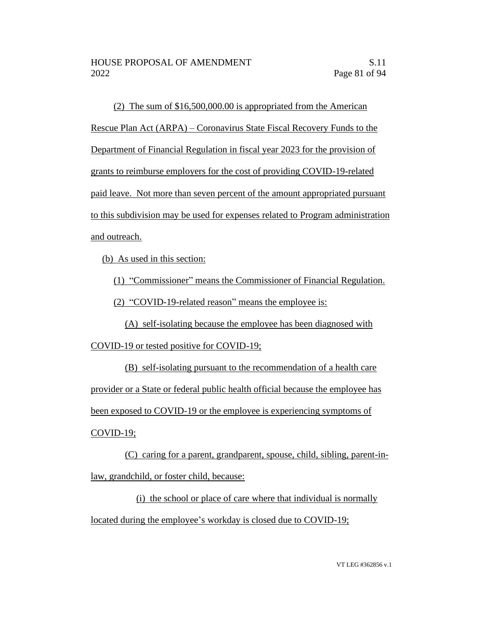(2) The sum of \$16,500,000.00 is appropriated from the American Rescue Plan Act (ARPA) – Coronavirus State Fiscal Recovery Funds to the Department of Financial Regulation in fiscal year 2023 for the provision of grants to reimburse employers for the cost of providing COVID-19-related paid leave. Not more than seven percent of the amount appropriated pursuant to this subdivision may be used for expenses related to Program administration and outreach.

(b) As used in this section:

(1) "Commissioner" means the Commissioner of Financial Regulation.

(2) "COVID-19-related reason" means the employee is:

(A) self-isolating because the employee has been diagnosed with

COVID-19 or tested positive for COVID-19;

(B) self-isolating pursuant to the recommendation of a health care provider or a State or federal public health official because the employee has been exposed to COVID-19 or the employee is experiencing symptoms of

COVID-19;

(C) caring for a parent, grandparent, spouse, child, sibling, parent-inlaw, grandchild, or foster child, because:

(i) the school or place of care where that individual is normally located during the employee's workday is closed due to COVID-19;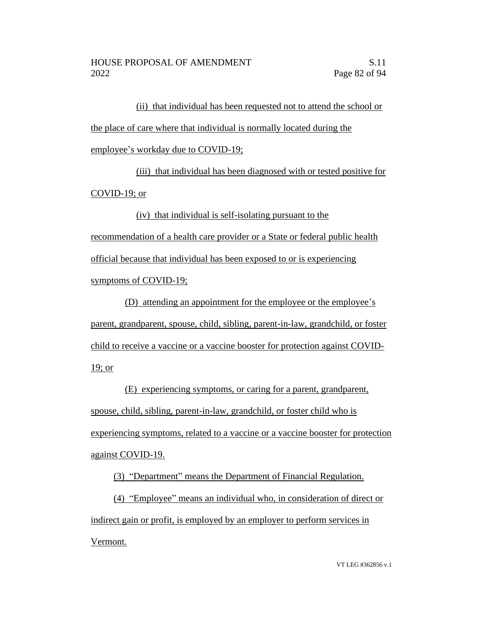(ii) that individual has been requested not to attend the school or the place of care where that individual is normally located during the employee's workday due to COVID-19;

(iii) that individual has been diagnosed with or tested positive for COVID-19; or

(iv) that individual is self-isolating pursuant to the recommendation of a health care provider or a State or federal public health official because that individual has been exposed to or is experiencing symptoms of COVID-19;

(D) attending an appointment for the employee or the employee's parent, grandparent, spouse, child, sibling, parent-in-law, grandchild, or foster child to receive a vaccine or a vaccine booster for protection against COVID-19; or

(E) experiencing symptoms, or caring for a parent, grandparent, spouse, child, sibling, parent-in-law, grandchild, or foster child who is experiencing symptoms, related to a vaccine or a vaccine booster for protection against COVID-19.

(3) "Department" means the Department of Financial Regulation.

(4) "Employee" means an individual who, in consideration of direct or indirect gain or profit, is employed by an employer to perform services in Vermont.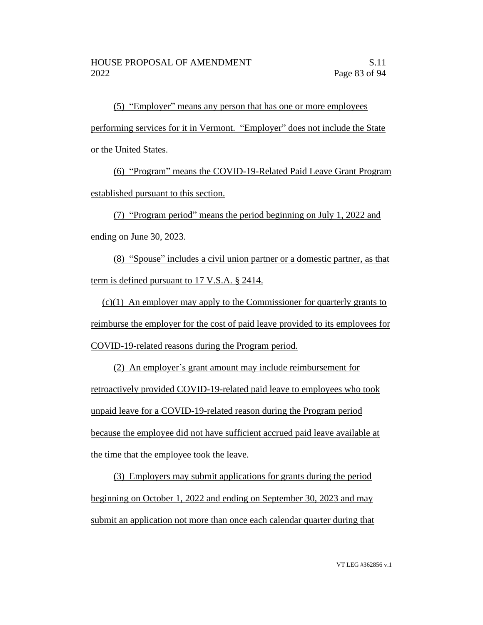(5) "Employer" means any person that has one or more employees performing services for it in Vermont. "Employer" does not include the State or the United States.

(6) "Program" means the COVID-19-Related Paid Leave Grant Program established pursuant to this section.

(7) "Program period" means the period beginning on July 1, 2022 and ending on June 30, 2023.

(8) "Spouse" includes a civil union partner or a domestic partner, as that term is defined pursuant to 17 V.S.A. § 2414.

(c)(1) An employer may apply to the Commissioner for quarterly grants to reimburse the employer for the cost of paid leave provided to its employees for COVID-19-related reasons during the Program period.

(2) An employer's grant amount may include reimbursement for retroactively provided COVID-19-related paid leave to employees who took unpaid leave for a COVID-19-related reason during the Program period because the employee did not have sufficient accrued paid leave available at the time that the employee took the leave.

(3) Employers may submit applications for grants during the period beginning on October 1, 2022 and ending on September 30, 2023 and may submit an application not more than once each calendar quarter during that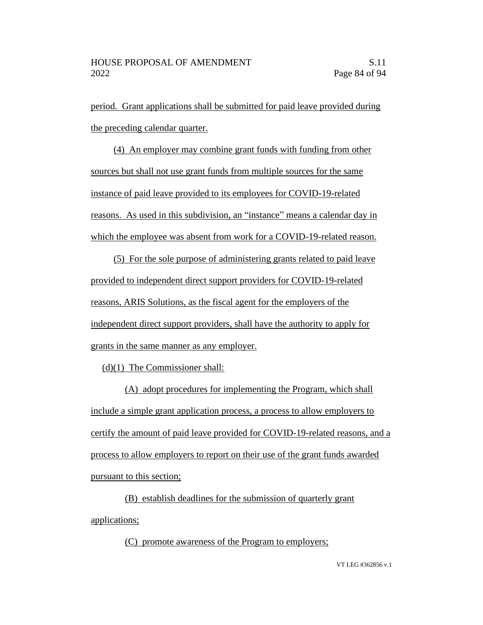period. Grant applications shall be submitted for paid leave provided during the preceding calendar quarter.

(4) An employer may combine grant funds with funding from other sources but shall not use grant funds from multiple sources for the same instance of paid leave provided to its employees for COVID-19-related reasons. As used in this subdivision, an "instance" means a calendar day in which the employee was absent from work for a COVID-19-related reason.

(5) For the sole purpose of administering grants related to paid leave provided to independent direct support providers for COVID-19-related reasons, ARIS Solutions, as the fiscal agent for the employers of the independent direct support providers, shall have the authority to apply for grants in the same manner as any employer.

(d)(1) The Commissioner shall:

(A) adopt procedures for implementing the Program, which shall include a simple grant application process, a process to allow employers to certify the amount of paid leave provided for COVID-19-related reasons, and a process to allow employers to report on their use of the grant funds awarded pursuant to this section;

(B) establish deadlines for the submission of quarterly grant applications;

(C) promote awareness of the Program to employers;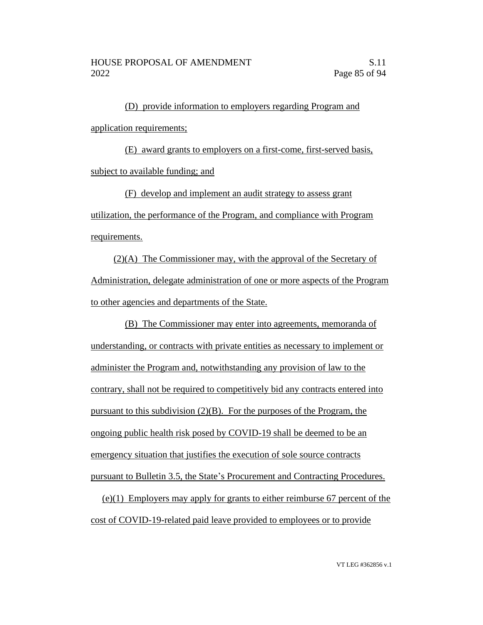(D) provide information to employers regarding Program and application requirements;

(E) award grants to employers on a first-come, first-served basis, subject to available funding; and

(F) develop and implement an audit strategy to assess grant utilization, the performance of the Program, and compliance with Program requirements.

(2)(A) The Commissioner may, with the approval of the Secretary of Administration, delegate administration of one or more aspects of the Program to other agencies and departments of the State.

(B) The Commissioner may enter into agreements, memoranda of understanding, or contracts with private entities as necessary to implement or administer the Program and, notwithstanding any provision of law to the contrary, shall not be required to competitively bid any contracts entered into pursuant to this subdivision (2)(B). For the purposes of the Program, the ongoing public health risk posed by COVID-19 shall be deemed to be an emergency situation that justifies the execution of sole source contracts pursuant to Bulletin 3.5, the State's Procurement and Contracting Procedures.

(e)(1) Employers may apply for grants to either reimburse 67 percent of the cost of COVID-19-related paid leave provided to employees or to provide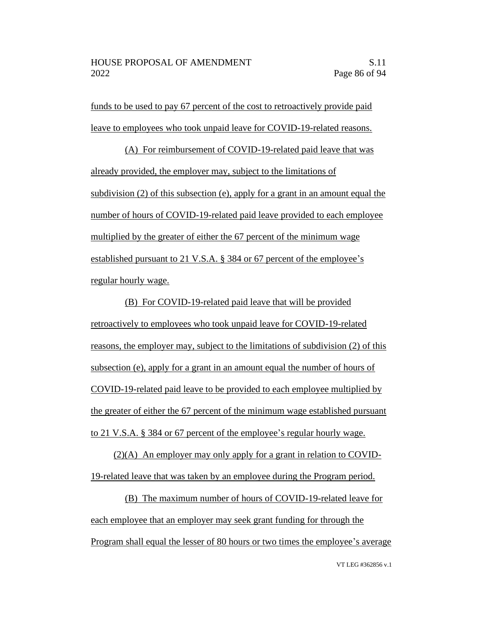funds to be used to pay 67 percent of the cost to retroactively provide paid leave to employees who took unpaid leave for COVID-19-related reasons.

(A) For reimbursement of COVID-19-related paid leave that was already provided, the employer may, subject to the limitations of subdivision (2) of this subsection (e), apply for a grant in an amount equal the number of hours of COVID-19-related paid leave provided to each employee multiplied by the greater of either the 67 percent of the minimum wage established pursuant to 21 V.S.A. § 384 or 67 percent of the employee's regular hourly wage.

(B) For COVID-19-related paid leave that will be provided retroactively to employees who took unpaid leave for COVID-19-related reasons, the employer may, subject to the limitations of subdivision (2) of this subsection (e), apply for a grant in an amount equal the number of hours of COVID-19-related paid leave to be provided to each employee multiplied by the greater of either the 67 percent of the minimum wage established pursuant to 21 V.S.A. § 384 or 67 percent of the employee's regular hourly wage.

(2)(A) An employer may only apply for a grant in relation to COVID-19-related leave that was taken by an employee during the Program period.

(B) The maximum number of hours of COVID-19-related leave for each employee that an employer may seek grant funding for through the Program shall equal the lesser of 80 hours or two times the employee's average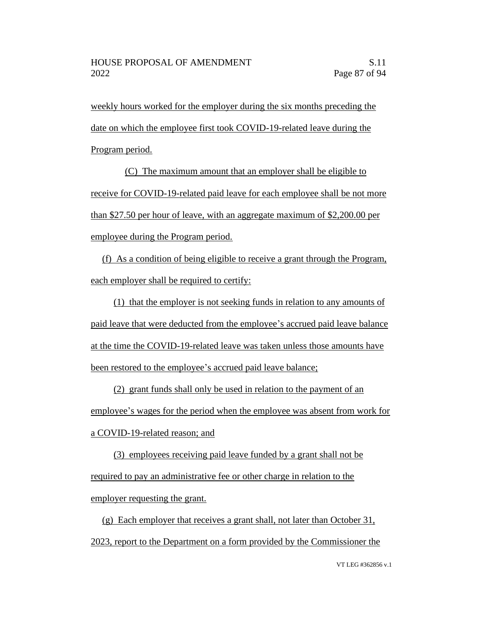weekly hours worked for the employer during the six months preceding the date on which the employee first took COVID-19-related leave during the Program period.

(C) The maximum amount that an employer shall be eligible to receive for COVID-19-related paid leave for each employee shall be not more than \$27.50 per hour of leave, with an aggregate maximum of \$2,200.00 per employee during the Program period.

(f) As a condition of being eligible to receive a grant through the Program, each employer shall be required to certify:

(1) that the employer is not seeking funds in relation to any amounts of paid leave that were deducted from the employee's accrued paid leave balance at the time the COVID-19-related leave was taken unless those amounts have been restored to the employee's accrued paid leave balance;

(2) grant funds shall only be used in relation to the payment of an employee's wages for the period when the employee was absent from work for a COVID-19-related reason; and

(3) employees receiving paid leave funded by a grant shall not be required to pay an administrative fee or other charge in relation to the employer requesting the grant.

(g) Each employer that receives a grant shall, not later than October 31, 2023, report to the Department on a form provided by the Commissioner the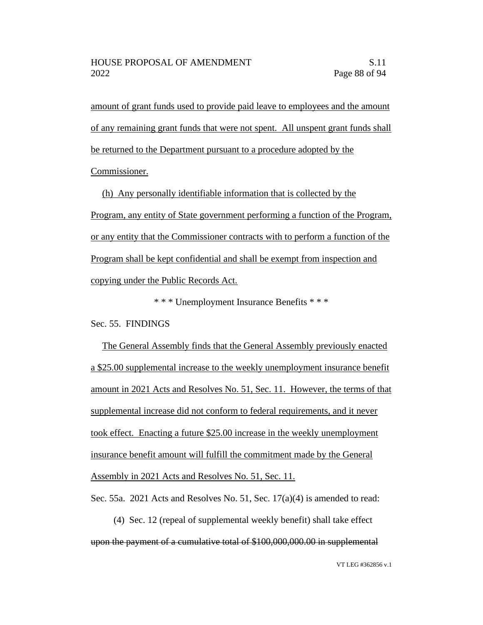amount of grant funds used to provide paid leave to employees and the amount of any remaining grant funds that were not spent. All unspent grant funds shall be returned to the Department pursuant to a procedure adopted by the Commissioner.

(h) Any personally identifiable information that is collected by the Program, any entity of State government performing a function of the Program, or any entity that the Commissioner contracts with to perform a function of the Program shall be kept confidential and shall be exempt from inspection and copying under the Public Records Act.

\* \* \* Unemployment Insurance Benefits \* \* \*

Sec. 55. FINDINGS

The General Assembly finds that the General Assembly previously enacted a \$25.00 supplemental increase to the weekly unemployment insurance benefit amount in 2021 Acts and Resolves No. 51, Sec. 11. However, the terms of that supplemental increase did not conform to federal requirements, and it never took effect. Enacting a future \$25.00 increase in the weekly unemployment insurance benefit amount will fulfill the commitment made by the General Assembly in 2021 Acts and Resolves No. 51, Sec. 11.

Sec. 55a. 2021 Acts and Resolves No. 51, Sec. 17(a)(4) is amended to read:

(4) Sec. 12 (repeal of supplemental weekly benefit) shall take effect upon the payment of a cumulative total of \$100,000,000.00 in supplemental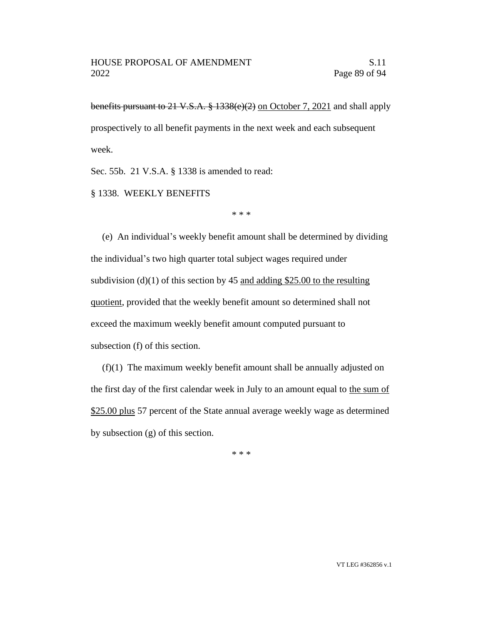benefits pursuant to 21 V.S.A. § 1338(e)(2) on October 7, 2021 and shall apply prospectively to all benefit payments in the next week and each subsequent week.

Sec. 55b. 21 V.S.A. § 1338 is amended to read:

§ 1338. WEEKLY BENEFITS

\* \* \*

(e) An individual's weekly benefit amount shall be determined by dividing the individual's two high quarter total subject wages required under subdivision (d)(1) of this section by 45 and adding \$25.00 to the resulting quotient, provided that the weekly benefit amount so determined shall not exceed the maximum weekly benefit amount computed pursuant to subsection (f) of this section.

(f)(1) The maximum weekly benefit amount shall be annually adjusted on the first day of the first calendar week in July to an amount equal to the sum of \$25.00 plus 57 percent of the State annual average weekly wage as determined by subsection (g) of this section.

\* \* \*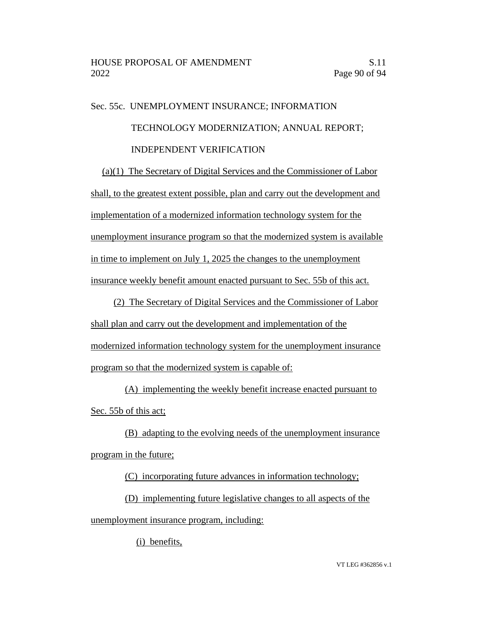## Sec. 55c. UNEMPLOYMENT INSURANCE; INFORMATION TECHNOLOGY MODERNIZATION; ANNUAL REPORT; INDEPENDENT VERIFICATION

(a)(1) The Secretary of Digital Services and the Commissioner of Labor shall, to the greatest extent possible, plan and carry out the development and implementation of a modernized information technology system for the unemployment insurance program so that the modernized system is available in time to implement on July 1, 2025 the changes to the unemployment insurance weekly benefit amount enacted pursuant to Sec. 55b of this act.

(2) The Secretary of Digital Services and the Commissioner of Labor shall plan and carry out the development and implementation of the modernized information technology system for the unemployment insurance program so that the modernized system is capable of:

(A) implementing the weekly benefit increase enacted pursuant to Sec. 55b of this act;

(B) adapting to the evolving needs of the unemployment insurance program in the future;

(C) incorporating future advances in information technology;

(D) implementing future legislative changes to all aspects of the unemployment insurance program, including:

(i) benefits,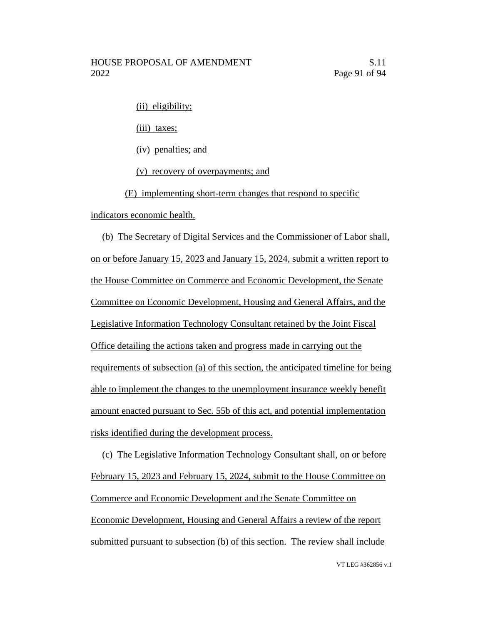(ii) eligibility;

(iii) taxes;

(iv) penalties; and

(v) recovery of overpayments; and

(E) implementing short-term changes that respond to specific

indicators economic health.

(b) The Secretary of Digital Services and the Commissioner of Labor shall, on or before January 15, 2023 and January 15, 2024, submit a written report to the House Committee on Commerce and Economic Development, the Senate Committee on Economic Development, Housing and General Affairs, and the Legislative Information Technology Consultant retained by the Joint Fiscal Office detailing the actions taken and progress made in carrying out the requirements of subsection (a) of this section, the anticipated timeline for being able to implement the changes to the unemployment insurance weekly benefit amount enacted pursuant to Sec. 55b of this act, and potential implementation risks identified during the development process.

(c) The Legislative Information Technology Consultant shall, on or before February 15, 2023 and February 15, 2024, submit to the House Committee on Commerce and Economic Development and the Senate Committee on Economic Development, Housing and General Affairs a review of the report submitted pursuant to subsection (b) of this section. The review shall include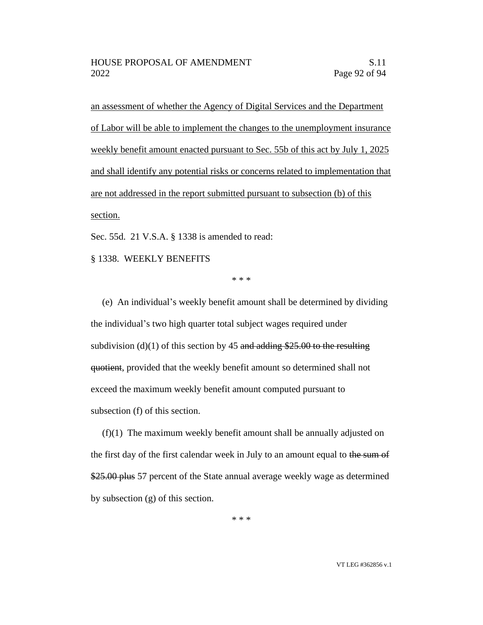an assessment of whether the Agency of Digital Services and the Department of Labor will be able to implement the changes to the unemployment insurance weekly benefit amount enacted pursuant to Sec. 55b of this act by July 1, 2025 and shall identify any potential risks or concerns related to implementation that are not addressed in the report submitted pursuant to subsection (b) of this section.

Sec. 55d. 21 V.S.A. § 1338 is amended to read:

§ 1338. WEEKLY BENEFITS

\* \* \*

(e) An individual's weekly benefit amount shall be determined by dividing the individual's two high quarter total subject wages required under subdivision (d)(1) of this section by 45 and adding \$25.00 to the resulting quotient, provided that the weekly benefit amount so determined shall not exceed the maximum weekly benefit amount computed pursuant to subsection (f) of this section.

(f)(1) The maximum weekly benefit amount shall be annually adjusted on the first day of the first calendar week in July to an amount equal to the sum of \$25.00 plus 57 percent of the State annual average weekly wage as determined by subsection (g) of this section.

\* \* \*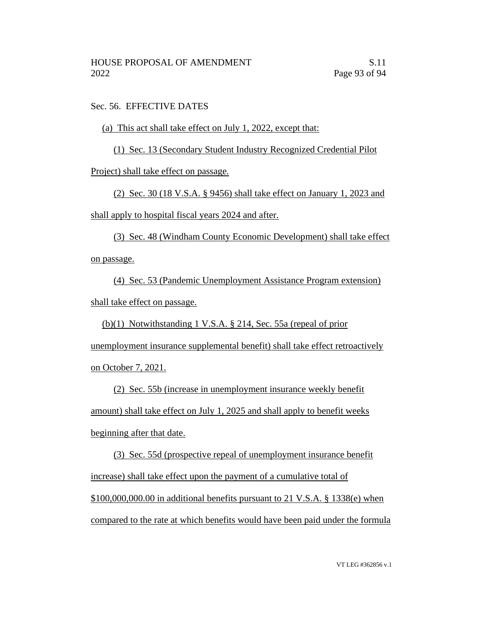Sec. 56. EFFECTIVE DATES

(a) This act shall take effect on July 1, 2022, except that:

(1) Sec. 13 (Secondary Student Industry Recognized Credential Pilot

Project) shall take effect on passage.

(2) Sec. 30 (18 V.S.A. § 9456) shall take effect on January 1, 2023 and

shall apply to hospital fiscal years 2024 and after.

(3) Sec. 48 (Windham County Economic Development) shall take effect on passage.

(4) Sec. 53 (Pandemic Unemployment Assistance Program extension) shall take effect on passage.

(b)(1) Notwithstanding 1 V.S.A. § 214, Sec. 55a (repeal of prior unemployment insurance supplemental benefit) shall take effect retroactively on October 7, 2021.

(2) Sec. 55b (increase in unemployment insurance weekly benefit amount) shall take effect on July 1, 2025 and shall apply to benefit weeks beginning after that date.

(3) Sec. 55d (prospective repeal of unemployment insurance benefit increase) shall take effect upon the payment of a cumulative total of  $$100,000,000.00$  in additional benefits pursuant to 21 V.S.A. § 1338(e) when compared to the rate at which benefits would have been paid under the formula